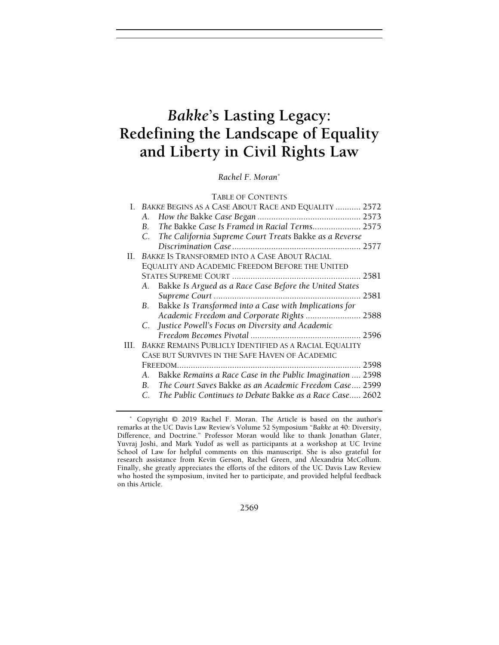# Bakke's Lasting Legacy: Redefining the Landscape of Equality and Liberty in Civil Rights Law

Rachel F. Moran\*

|     | I. BAKKE BEGINS AS A CASE ABOUT RACE AND EQUALITY  2572        |      |
|-----|----------------------------------------------------------------|------|
|     | А.                                                             |      |
|     | The Bakke Case Is Framed in Racial Terms 2575<br>$\mathbf{B}$  |      |
|     | C. The California Supreme Court Treats Bakke as a Reverse      |      |
|     |                                                                |      |
|     | II. BAKKE IS TRANSFORMED INTO A CASE ABOUT RACIAL              |      |
|     | EQUALITY AND ACADEMIC FREEDOM BEFORE THE UNITED                |      |
|     |                                                                |      |
|     | A. Bakke Is Argued as a Race Case Before the United States     |      |
|     |                                                                |      |
|     | B. Bakke Is Transformed into a Case with Implications for      |      |
|     | Academic Freedom and Corporate Rights  2588                    |      |
|     | C. Justice Powell's Focus on Diversity and Academic            |      |
|     |                                                                |      |
| HL. | BAKKE REMAINS PUBLICLY IDENTIFIED AS A RACIAL EQUALITY         |      |
|     | CASE BUT SURVIVES IN THE SAFE HAVEN OF ACADEMIC                |      |
|     | FREEDOM                                                        | 2598 |
|     | A. Bakke Remains a Race Case in the Public Imagination  2598   |      |
|     | B. The Court Saves Bakke as an Academic Freedom Case 2599      |      |
|     | The Public Continues to Debate Bakke as a Race Case 2602<br>C. |      |
|     |                                                                |      |

2569

 <sup>\*</sup> Copyright © 2019 Rachel F. Moran. The Article is based on the author's remarks at the UC Davis Law Review's Volume 52 Symposium "Bakke at 40: Diversity, Difference, and Doctrine." Professor Moran would like to thank Jonathan Glater, Yuvraj Joshi, and Mark Yudof as well as participants at a workshop at UC Irvine School of Law for helpful comments on this manuscript. She is also grateful for research assistance from Kevin Gerson, Rachel Green, and Alexandria McCollum. Finally, she greatly appreciates the efforts of the editors of the UC Davis Law Review who hosted the symposium, invited her to participate, and provided helpful feedback on this Article.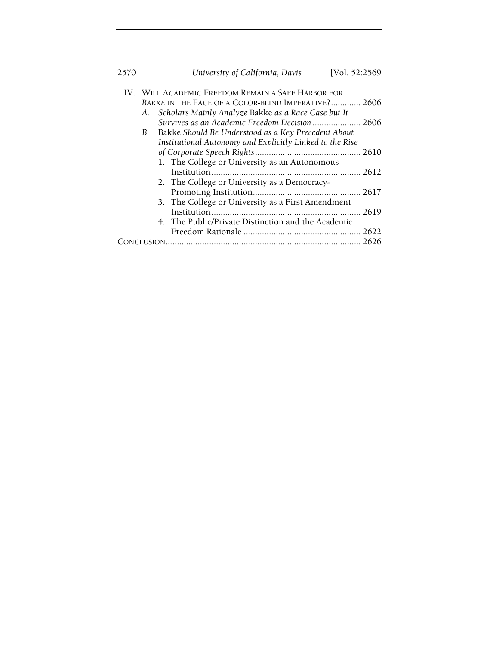| 2570 |                                                                                                           | University of California, Davis                          | [Vol. 52:2569 |  |
|------|-----------------------------------------------------------------------------------------------------------|----------------------------------------------------------|---------------|--|
|      | IV. WILL ACADEMIC FREEDOM REMAIN A SAFE HARBOR FOR<br>BAKKE IN THE FACE OF A COLOR-BLIND IMPERATIVE? 2606 |                                                          |               |  |
|      |                                                                                                           |                                                          |               |  |
|      |                                                                                                           | A. Scholars Mainly Analyze Bakke as a Race Case but It   |               |  |
|      |                                                                                                           | Survives as an Academic Freedom Decision  2606           |               |  |
|      | B.                                                                                                        | Bakke Should Be Understood as a Key Precedent About      |               |  |
|      |                                                                                                           | Institutional Autonomy and Explicitly Linked to the Rise |               |  |
|      |                                                                                                           |                                                          |               |  |
|      |                                                                                                           | 1. The College or University as an Autonomous            |               |  |
|      |                                                                                                           |                                                          |               |  |
|      |                                                                                                           | 2. The College or University as a Democracy-             |               |  |
|      |                                                                                                           |                                                          |               |  |
|      |                                                                                                           | 3. The College or University as a First Amendment        |               |  |
|      |                                                                                                           |                                                          | 2619          |  |
|      |                                                                                                           | 4. The Public/Private Distinction and the Academic       |               |  |
|      |                                                                                                           |                                                          |               |  |
| 2626 |                                                                                                           |                                                          |               |  |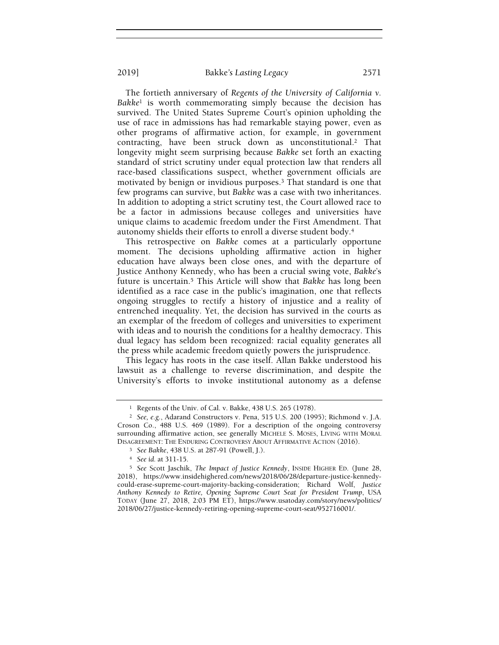The fortieth anniversary of Regents of the University of California v.  $Bakke<sup>1</sup>$  is worth commemorating simply because the decision has survived. The United States Supreme Court's opinion upholding the use of race in admissions has had remarkable staying power, even as other programs of affirmative action, for example, in government contracting, have been struck down as unconstitutional.2 That longevity might seem surprising because Bakke set forth an exacting standard of strict scrutiny under equal protection law that renders all race-based classifications suspect, whether government officials are motivated by benign or invidious purposes.3 That standard is one that few programs can survive, but Bakke was a case with two inheritances. In addition to adopting a strict scrutiny test, the Court allowed race to be a factor in admissions because colleges and universities have unique claims to academic freedom under the First Amendment. That autonomy shields their efforts to enroll a diverse student body.<sup>4</sup>

This retrospective on Bakke comes at a particularly opportune moment. The decisions upholding affirmative action in higher education have always been close ones, and with the departure of Justice Anthony Kennedy, who has been a crucial swing vote, Bakke's future is uncertain.5 This Article will show that Bakke has long been identified as a race case in the public's imagination, one that reflects ongoing struggles to rectify a history of injustice and a reality of entrenched inequality. Yet, the decision has survived in the courts as an exemplar of the freedom of colleges and universities to experiment with ideas and to nourish the conditions for a healthy democracy. This dual legacy has seldom been recognized: racial equality generates all the press while academic freedom quietly powers the jurisprudence.

This legacy has roots in the case itself. Allan Bakke understood his lawsuit as a challenge to reverse discrimination, and despite the University's efforts to invoke institutional autonomy as a defense

<sup>1</sup> Regents of the Univ. of Cal. v. Bakke, 438 U.S. 265 (1978).

<sup>2</sup> See, e.g., Adarand Constructors v. Pena, 515 U.S. 200 (1995); Richmond v. J.A. Croson Co., 488 U.S. 469 (1989). For a description of the ongoing controversy surrounding affirmative action, see generally MICHELE S. MOSES, LIVING WITH MORAL DISAGREEMENT: THE ENDURING CONTROVERSY ABOUT AFFIRMATIVE ACTION (2016).

<sup>3</sup> See Bakke, 438 U.S. at 287-91 (Powell, J.).

<sup>4</sup> See id. at 311-15.

<sup>5</sup> See Scott Jaschik, The Impact of Justice Kennedy, INSIDE HIGHER ED. (June 28, 2018), https://www.insidehighered.com/news/2018/06/28/departure-justice-kennedycould-erase-supreme-court-majority-backing-consideration; Richard Wolf, Justice Anthony Kennedy to Retire, Opening Supreme Court Seat for President Trump, USA TODAY (June 27, 2018, 2:03 PM ET), https://www.usatoday.com/story/news/politics/ 2018/06/27/justice-kennedy-retiring-opening-supreme-court-seat/952716001/.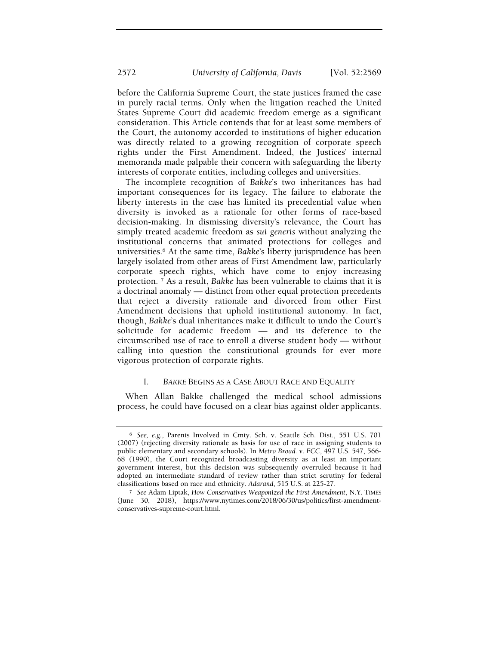before the California Supreme Court, the state justices framed the case in purely racial terms. Only when the litigation reached the United States Supreme Court did academic freedom emerge as a significant consideration. This Article contends that for at least some members of the Court, the autonomy accorded to institutions of higher education was directly related to a growing recognition of corporate speech rights under the First Amendment. Indeed, the Justices' internal memoranda made palpable their concern with safeguarding the liberty interests of corporate entities, including colleges and universities.

The incomplete recognition of Bakke's two inheritances has had important consequences for its legacy. The failure to elaborate the liberty interests in the case has limited its precedential value when diversity is invoked as a rationale for other forms of race-based decision-making. In dismissing diversity's relevance, the Court has simply treated academic freedom as sui generis without analyzing the institutional concerns that animated protections for colleges and universities.6 At the same time, Bakke's liberty jurisprudence has been largely isolated from other areas of First Amendment law, particularly corporate speech rights, which have come to enjoy increasing protection. 7 As a result, Bakke has been vulnerable to claims that it is a doctrinal anomaly — distinct from other equal protection precedents that reject a diversity rationale and divorced from other First Amendment decisions that uphold institutional autonomy. In fact, though, Bakke's dual inheritances make it difficult to undo the Court's solicitude for academic freedom — and its deference to the circumscribed use of race to enroll a diverse student body — without calling into question the constitutional grounds for ever more vigorous protection of corporate rights.

## I. BAKKE BEGINS AS A CASE ABOUT RACE AND EQUALITY

When Allan Bakke challenged the medical school admissions process, he could have focused on a clear bias against older applicants.

<sup>6</sup> See, e.g., Parents Involved in Cmty. Sch. v. Seattle Sch. Dist., 551 U.S. 701 (2007) (rejecting diversity rationale as basis for use of race in assigning students to public elementary and secondary schools). In Metro Broad. v. FCC, 497 U.S. 547, 566- 68 (1990), the Court recognized broadcasting diversity as at least an important government interest, but this decision was subsequently overruled because it had adopted an intermediate standard of review rather than strict scrutiny for federal classifications based on race and ethnicity. Adarand, 515 U.S. at 225-27.

<sup>7</sup> See Adam Liptak, How Conservatives Weaponized the First Amendment, N.Y. TIMES (June 30, 2018), https://www.nytimes.com/2018/06/30/us/politics/first-amendmentconservatives-supreme-court.html.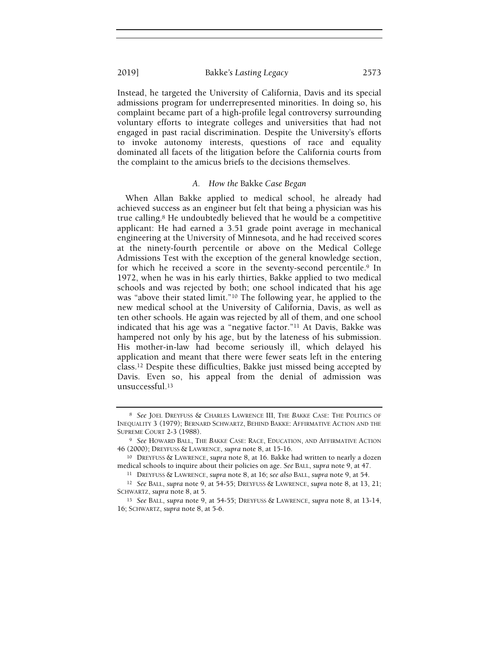Instead, he targeted the University of California, Davis and its special admissions program for underrepresented minorities. In doing so, his complaint became part of a high-profile legal controversy surrounding voluntary efforts to integrate colleges and universities that had not engaged in past racial discrimination. Despite the University's efforts to invoke autonomy interests, questions of race and equality dominated all facets of the litigation before the California courts from the complaint to the amicus briefs to the decisions themselves.

#### A. How the Bakke Case Began

When Allan Bakke applied to medical school, he already had achieved success as an engineer but felt that being a physician was his true calling.8 He undoubtedly believed that he would be a competitive applicant: He had earned a 3.51 grade point average in mechanical engineering at the University of Minnesota, and he had received scores at the ninety-fourth percentile or above on the Medical College Admissions Test with the exception of the general knowledge section, for which he received a score in the seventy-second percentile.9 In 1972, when he was in his early thirties, Bakke applied to two medical schools and was rejected by both; one school indicated that his age was "above their stated limit."10 The following year, he applied to the new medical school at the University of California, Davis, as well as ten other schools. He again was rejected by all of them, and one school indicated that his age was a "negative factor."11 At Davis, Bakke was hampered not only by his age, but by the lateness of his submission. His mother-in-law had become seriously ill, which delayed his application and meant that there were fewer seats left in the entering class.12 Despite these difficulties, Bakke just missed being accepted by Davis. Even so, his appeal from the denial of admission was unsuccessful.<sup>13</sup>

<sup>8</sup> See JOEL DREYFUSS & CHARLES LAWRENCE III, THE BAKKE CASE: THE POLITICS OF INEQUALITY 3 (1979); BERNARD SCHWARTZ, BEHIND BAKKE: AFFIRMATIVE ACTION AND THE SUPREME COURT 2-3 (1988).

<sup>9</sup> See HOWARD BALL, THE BAKKE CASE: RACE, EDUCATION, AND AFFIRMATIVE ACTION 46 (2000); DREYFUSS & LAWRENCE, supra note 8, at 15-16.

<sup>10</sup> DREYFUSS & LAWRENCE, supra note 8, at 16. Bakke had written to nearly a dozen medical schools to inquire about their policies on age. See BALL, supra note 9, at 47.

<sup>&</sup>lt;sup>11</sup> DREYFUSS & LAWRENCE, supra note 8, at 16; see also BALL, supra note 9, at 54.

<sup>12</sup> See BALL, supra note 9, at 54-55; DREYFUSS & LAWRENCE, supra note 8, at 13, 21; SCHWARTZ, supra note 8, at 5.

<sup>13</sup> See BALL, supra note 9, at 54-55; DREYFUSS & LAWRENCE, supra note 8, at 13-14, 16; SCHWARTZ, supra note 8, at 5-6.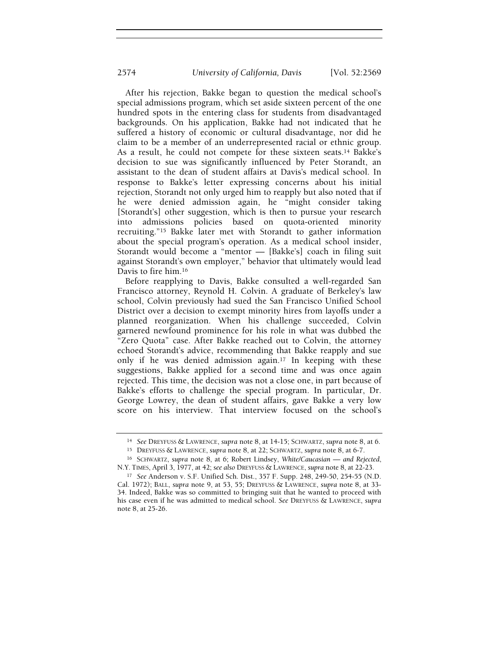After his rejection, Bakke began to question the medical school's special admissions program, which set aside sixteen percent of the one hundred spots in the entering class for students from disadvantaged backgrounds. On his application, Bakke had not indicated that he suffered a history of economic or cultural disadvantage, nor did he claim to be a member of an underrepresented racial or ethnic group. As a result, he could not compete for these sixteen seats.<sup>14</sup> Bakke's decision to sue was significantly influenced by Peter Storandt, an assistant to the dean of student affairs at Davis's medical school. In response to Bakke's letter expressing concerns about his initial rejection, Storandt not only urged him to reapply but also noted that if he were denied admission again, he "might consider taking [Storandt's] other suggestion, which is then to pursue your research into admissions policies based on quota-oriented minority recruiting."15 Bakke later met with Storandt to gather information about the special program's operation. As a medical school insider, Storandt would become a "mentor — [Bakke's] coach in filing suit against Storandt's own employer," behavior that ultimately would lead Davis to fire him.<sup>16</sup>

Before reapplying to Davis, Bakke consulted a well-regarded San Francisco attorney, Reynold H. Colvin. A graduate of Berkeley's law school, Colvin previously had sued the San Francisco Unified School District over a decision to exempt minority hires from layoffs under a planned reorganization. When his challenge succeeded, Colvin garnered newfound prominence for his role in what was dubbed the "Zero Quota" case. After Bakke reached out to Colvin, the attorney echoed Storandt's advice, recommending that Bakke reapply and sue only if he was denied admission again.17 In keeping with these suggestions, Bakke applied for a second time and was once again rejected. This time, the decision was not a close one, in part because of Bakke's efforts to challenge the special program. In particular, Dr. George Lowrey, the dean of student affairs, gave Bakke a very low score on his interview. That interview focused on the school's

<sup>14</sup> See DREYFUSS & LAWRENCE, supra note 8, at 14-15; SCHWARTZ, supra note 8, at 6.

<sup>15</sup> DREYFUSS & LAWRENCE, supra note 8, at 22; SCHWARTZ, supra note 8, at 6-7.

<sup>16</sup> SCHWARTZ, supra note 8, at 6; Robert Lindsey, White/Caucasian — and Rejected, N.Y. TIMES, April 3, 1977, at 42; see also DREYFUSS & LAWRENCE, supra note 8, at 22-23.

<sup>17</sup> See Anderson v. S.F. Unified Sch. Dist., 357 F. Supp. 248, 249-50, 254-55 (N.D. Cal. 1972); BALL, supra note 9, at 53, 55; DREYFUSS & LAWRENCE, supra note 8, at 33- 34. Indeed, Bakke was so committed to bringing suit that he wanted to proceed with his case even if he was admitted to medical school. See DREYFUSS & LAWRENCE, supra note 8, at 25-26.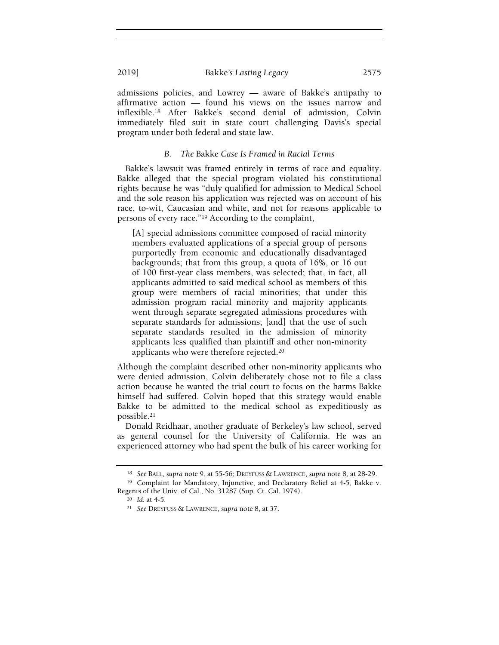admissions policies, and Lowrey — aware of Bakke's antipathy to affirmative action — found his views on the issues narrow and inflexible.18 After Bakke's second denial of admission, Colvin immediately filed suit in state court challenging Davis's special program under both federal and state law.

# B. The Bakke Case Is Framed in Racial Terms

Bakke's lawsuit was framed entirely in terms of race and equality. Bakke alleged that the special program violated his constitutional rights because he was "duly qualified for admission to Medical School and the sole reason his application was rejected was on account of his race, to-wit, Caucasian and white, and not for reasons applicable to persons of every race."19 According to the complaint,

[A] special admissions committee composed of racial minority members evaluated applications of a special group of persons purportedly from economic and educationally disadvantaged backgrounds; that from this group, a quota of 16%, or 16 out of 100 first-year class members, was selected; that, in fact, all applicants admitted to said medical school as members of this group were members of racial minorities; that under this admission program racial minority and majority applicants went through separate segregated admissions procedures with separate standards for admissions; [and] that the use of such separate standards resulted in the admission of minority applicants less qualified than plaintiff and other non-minority applicants who were therefore rejected.<sup>20</sup>

Although the complaint described other non-minority applicants who were denied admission, Colvin deliberately chose not to file a class action because he wanted the trial court to focus on the harms Bakke himself had suffered. Colvin hoped that this strategy would enable Bakke to be admitted to the medical school as expeditiously as possible.<sup>21</sup>

Donald Reidhaar, another graduate of Berkeley's law school, served as general counsel for the University of California. He was an experienced attorney who had spent the bulk of his career working for

<sup>18</sup> See BALL, supra note 9, at 55-56; DREYFUSS & LAWRENCE, supra note 8, at 28-29.

<sup>19</sup> Complaint for Mandatory, Injunctive, and Declaratory Relief at 4-5, Bakke v. Regents of the Univ. of Cal., No. 31287 (Sup. Ct. Cal. 1974).

<sup>20</sup> Id. at 4-5.

<sup>21</sup> See DREYFUSS & LAWRENCE, supra note 8, at 37.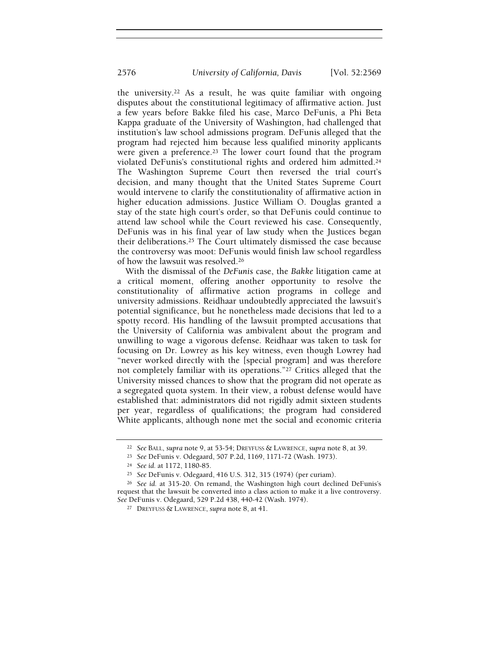the university.22 As a result, he was quite familiar with ongoing disputes about the constitutional legitimacy of affirmative action. Just a few years before Bakke filed his case, Marco DeFunis, a Phi Beta Kappa graduate of the University of Washington, had challenged that institution's law school admissions program. DeFunis alleged that the program had rejected him because less qualified minority applicants were given a preference.<sup>23</sup> The lower court found that the program violated DeFunis's constitutional rights and ordered him admitted.<sup>24</sup> The Washington Supreme Court then reversed the trial court's decision, and many thought that the United States Supreme Court would intervene to clarify the constitutionality of affirmative action in higher education admissions. Justice William O. Douglas granted a stay of the state high court's order, so that DeFunis could continue to attend law school while the Court reviewed his case. Consequently, DeFunis was in his final year of law study when the Justices began their deliberations.25 The Court ultimately dismissed the case because the controversy was moot: DeFunis would finish law school regardless of how the lawsuit was resolved.<sup>26</sup>

With the dismissal of the DeFunis case, the Bakke litigation came at a critical moment, offering another opportunity to resolve the constitutionality of affirmative action programs in college and university admissions. Reidhaar undoubtedly appreciated the lawsuit's potential significance, but he nonetheless made decisions that led to a spotty record. His handling of the lawsuit prompted accusations that the University of California was ambivalent about the program and unwilling to wage a vigorous defense. Reidhaar was taken to task for focusing on Dr. Lowrey as his key witness, even though Lowrey had "never worked directly with the [special program] and was therefore not completely familiar with its operations."27 Critics alleged that the University missed chances to show that the program did not operate as a segregated quota system. In their view, a robust defense would have established that: administrators did not rigidly admit sixteen students per year, regardless of qualifications; the program had considered White applicants, although none met the social and economic criteria

<sup>&</sup>lt;sup>22</sup> See BALL, supra note 9, at 53-54; DREYFUSS & LAWRENCE, supra note 8, at 39.

<sup>23</sup> See DeFunis v. Odegaard, 507 P.2d, 1169, 1171-72 (Wash. 1973).

<sup>24</sup> See id. at 1172, 1180-85.

<sup>25</sup> See DeFunis v. Odegaard, 416 U.S. 312, 315 (1974) (per curiam).

<sup>26</sup> See id. at 315-20. On remand, the Washington high court declined DeFunis's request that the lawsuit be converted into a class action to make it a live controversy. See DeFunis v. Odegaard, 529 P.2d 438, 440-42 (Wash. 1974).

<sup>&</sup>lt;sup>27</sup> DREYFUSS & LAWRENCE, supra note 8, at 41.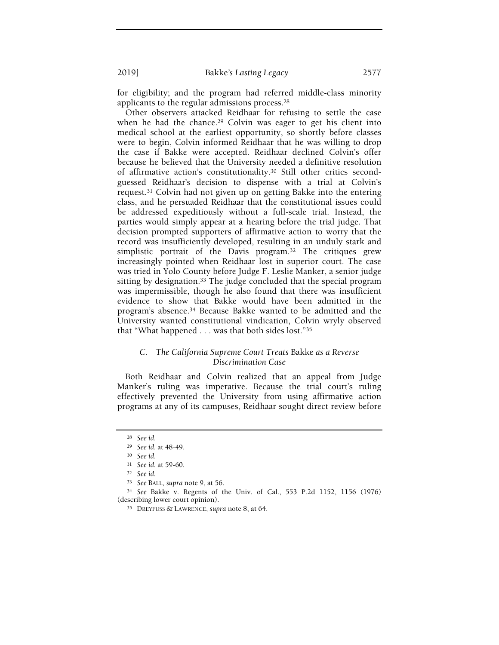for eligibility; and the program had referred middle-class minority applicants to the regular admissions process.<sup>28</sup>

Other observers attacked Reidhaar for refusing to settle the case when he had the chance.<sup>29</sup> Colvin was eager to get his client into medical school at the earliest opportunity, so shortly before classes were to begin, Colvin informed Reidhaar that he was willing to drop the case if Bakke were accepted. Reidhaar declined Colvin's offer because he believed that the University needed a definitive resolution of affirmative action's constitutionality.30 Still other critics secondguessed Reidhaar's decision to dispense with a trial at Colvin's request.31 Colvin had not given up on getting Bakke into the entering class, and he persuaded Reidhaar that the constitutional issues could be addressed expeditiously without a full-scale trial. Instead, the parties would simply appear at a hearing before the trial judge. That decision prompted supporters of affirmative action to worry that the record was insufficiently developed, resulting in an unduly stark and simplistic portrait of the Davis program.32 The critiques grew increasingly pointed when Reidhaar lost in superior court. The case was tried in Yolo County before Judge F. Leslie Manker, a senior judge sitting by designation.<sup>33</sup> The judge concluded that the special program was impermissible, though he also found that there was insufficient evidence to show that Bakke would have been admitted in the program's absence.34 Because Bakke wanted to be admitted and the University wanted constitutional vindication, Colvin wryly observed that "What happened . . . was that both sides lost."<sup>35</sup>

# C. The California Supreme Court Treats Bakke as a Reverse Discrimination Case

Both Reidhaar and Colvin realized that an appeal from Judge Manker's ruling was imperative. Because the trial court's ruling effectively prevented the University from using affirmative action programs at any of its campuses, Reidhaar sought direct review before

<sup>28</sup> See id.

<sup>29</sup> See id. at 48-49.

<sup>30</sup> See id.

<sup>31</sup> See id. at 59-60.

<sup>32</sup> See id.

<sup>33</sup> See BALL, supra note 9, at 56.

<sup>34</sup> See Bakke v. Regents of the Univ. of Cal., 553 P.2d 1152, 1156 (1976) (describing lower court opinion).

<sup>&</sup>lt;sup>35</sup> DREYFUSS & LAWRENCE, supra note 8, at 64.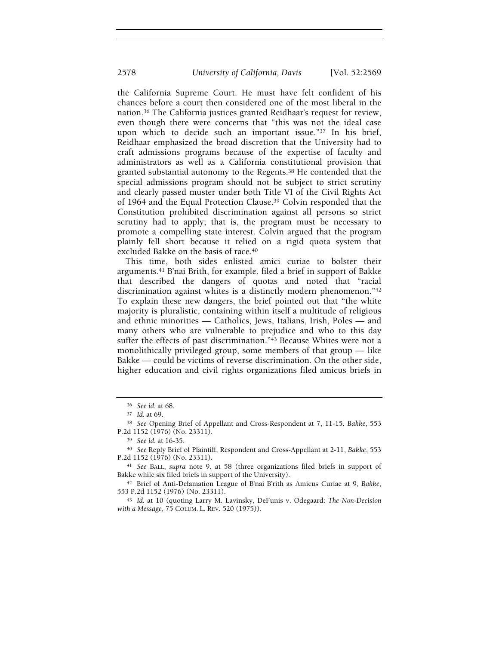the California Supreme Court. He must have felt confident of his chances before a court then considered one of the most liberal in the nation.36 The California justices granted Reidhaar's request for review, even though there were concerns that "this was not the ideal case upon which to decide such an important issue."37 In his brief, Reidhaar emphasized the broad discretion that the University had to craft admissions programs because of the expertise of faculty and administrators as well as a California constitutional provision that granted substantial autonomy to the Regents.38 He contended that the special admissions program should not be subject to strict scrutiny and clearly passed muster under both Title VI of the Civil Rights Act of 1964 and the Equal Protection Clause.39 Colvin responded that the Constitution prohibited discrimination against all persons so strict scrutiny had to apply; that is, the program must be necessary to promote a compelling state interest. Colvin argued that the program plainly fell short because it relied on a rigid quota system that excluded Bakke on the basis of race.<sup>40</sup>

This time, both sides enlisted amici curiae to bolster their arguments.41 B'nai Brith, for example, filed a brief in support of Bakke that described the dangers of quotas and noted that "racial discrimination against whites is a distinctly modern phenomenon."<sup>42</sup> To explain these new dangers, the brief pointed out that "the white majority is pluralistic, containing within itself a multitude of religious and ethnic minorities — Catholics, Jews, Italians, Irish, Poles — and many others who are vulnerable to prejudice and who to this day suffer the effects of past discrimination."43 Because Whites were not a monolithically privileged group, some members of that group — like Bakke — could be victims of reverse discrimination. On the other side, higher education and civil rights organizations filed amicus briefs in

<sup>36</sup> See id. at 68.

<sup>37</sup> Id. at 69.

<sup>38</sup> See Opening Brief of Appellant and Cross-Respondent at 7, 11-15, Bakke, 553 P.2d 1152 (1976) (No. 23311).

<sup>39</sup> See id. at 16-35.

<sup>40</sup> See Reply Brief of Plaintiff, Respondent and Cross-Appellant at 2-11, Bakke, 553 P.2d 1152 (1976) (No. 23311).

<sup>41</sup> See BALL, supra note 9, at 58 (three organizations filed briefs in support of Bakke while six filed briefs in support of the University).

<sup>42</sup> Brief of Anti-Defamation League of B'nai B'rith as Amicus Curiae at 9, Bakke, 553 P.2d 1152 (1976) (No. 23311).

<sup>43</sup> Id. at 10 (quoting Larry M. Lavinsky, DeFunis v. Odegaard: The Non-Decision with a Message, 75 COLUM. L. REV. 520 (1975)).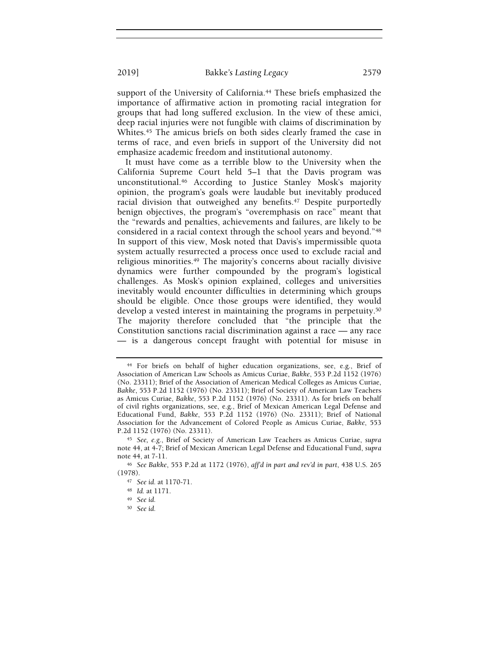support of the University of California.<sup>44</sup> These briefs emphasized the importance of affirmative action in promoting racial integration for groups that had long suffered exclusion. In the view of these amici, deep racial injuries were not fungible with claims of discrimination by Whites.<sup>45</sup> The amicus briefs on both sides clearly framed the case in terms of race, and even briefs in support of the University did not emphasize academic freedom and institutional autonomy.

It must have come as a terrible blow to the University when the California Supreme Court held 5–1 that the Davis program was unconstitutional.46 According to Justice Stanley Mosk's majority opinion, the program's goals were laudable but inevitably produced racial division that outweighed any benefits.<sup>47</sup> Despite purportedly benign objectives, the program's "overemphasis on race" meant that the "rewards and penalties, achievements and failures, are likely to be considered in a racial context through the school years and beyond."<sup>48</sup> In support of this view, Mosk noted that Davis's impermissible quota system actually resurrected a process once used to exclude racial and religious minorities.49 The majority's concerns about racially divisive dynamics were further compounded by the program's logistical challenges. As Mosk's opinion explained, colleges and universities inevitably would encounter difficulties in determining which groups should be eligible. Once those groups were identified, they would develop a vested interest in maintaining the programs in perpetuity.<sup>50</sup> The majority therefore concluded that "the principle that the Constitution sanctions racial discrimination against a race — any race — is a dangerous concept fraught with potential for misuse in

<sup>44</sup> For briefs on behalf of higher education organizations, see, e.g., Brief of Association of American Law Schools as Amicus Curiae, Bakke, 553 P.2d 1152 (1976) (No. 23311); Brief of the Association of American Medical Colleges as Amicus Curiae, Bakke, 553 P.2d 1152 (1976) (No. 23311); Brief of Society of American Law Teachers as Amicus Curiae, Bakke, 553 P.2d 1152 (1976) (No. 23311). As for briefs on behalf of civil rights organizations, see, e.g., Brief of Mexican American Legal Defense and Educational Fund, Bakke, 553 P.2d 1152 (1976) (No. 23311); Brief of National Association for the Advancement of Colored People as Amicus Curiae, Bakke, 553 P.2d 1152 (1976) (No. 23311).

<sup>45</sup> See, e.g., Brief of Society of American Law Teachers as Amicus Curiae, supra note 44, at 4-7; Brief of Mexican American Legal Defense and Educational Fund, supra note 44, at 7-11.

<sup>46</sup> See Bakke, 553 P.2d at 1172 (1976), aff'd in part and rev'd in part, 438 U.S. 265 (1978).

<sup>47</sup> See id. at 1170-71.

<sup>48</sup> Id. at 1171.

<sup>49</sup> See id.

<sup>50</sup> See id.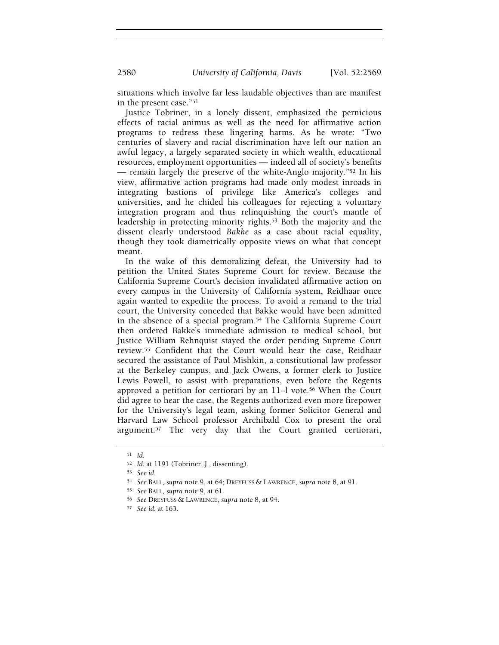2580 University of California, Davis [Vol. 52:2569

situations which involve far less laudable objectives than are manifest in the present case."<sup>51</sup>

Justice Tobriner, in a lonely dissent, emphasized the pernicious effects of racial animus as well as the need for affirmative action programs to redress these lingering harms. As he wrote: "Two centuries of slavery and racial discrimination have left our nation an awful legacy, a largely separated society in which wealth, educational resources, employment opportunities — indeed all of society's benefits — remain largely the preserve of the white-Anglo majority."52 In his view, affirmative action programs had made only modest inroads in integrating bastions of privilege like America's colleges and universities, and he chided his colleagues for rejecting a voluntary integration program and thus relinquishing the court's mantle of leadership in protecting minority rights.53 Both the majority and the dissent clearly understood Bakke as a case about racial equality, though they took diametrically opposite views on what that concept meant.

In the wake of this demoralizing defeat, the University had to petition the United States Supreme Court for review. Because the California Supreme Court's decision invalidated affirmative action on every campus in the University of California system, Reidhaar once again wanted to expedite the process. To avoid a remand to the trial court, the University conceded that Bakke would have been admitted in the absence of a special program.54 The California Supreme Court then ordered Bakke's immediate admission to medical school, but Justice William Rehnquist stayed the order pending Supreme Court review.55 Confident that the Court would hear the case, Reidhaar secured the assistance of Paul Mishkin, a constitutional law professor at the Berkeley campus, and Jack Owens, a former clerk to Justice Lewis Powell, to assist with preparations, even before the Regents approved a petition for certiorari by an 11–l vote.56 When the Court did agree to hear the case, the Regents authorized even more firepower for the University's legal team, asking former Solicitor General and Harvard Law School professor Archibald Cox to present the oral argument.57 The very day that the Court granted certiorari,

<sup>51</sup> Id.

<sup>52</sup> Id. at 1191 (Tobriner, J., dissenting).

<sup>53</sup> See id.

<sup>54</sup> See BALL, supra note 9, at 64; DREYFUSS & LAWRENCE, supra note 8, at 91.

<sup>55</sup> See BALL, supra note 9, at 61.

<sup>56</sup> See DREYFUSS & LAWRENCE, supra note 8, at 94.

<sup>57</sup> See id. at 163.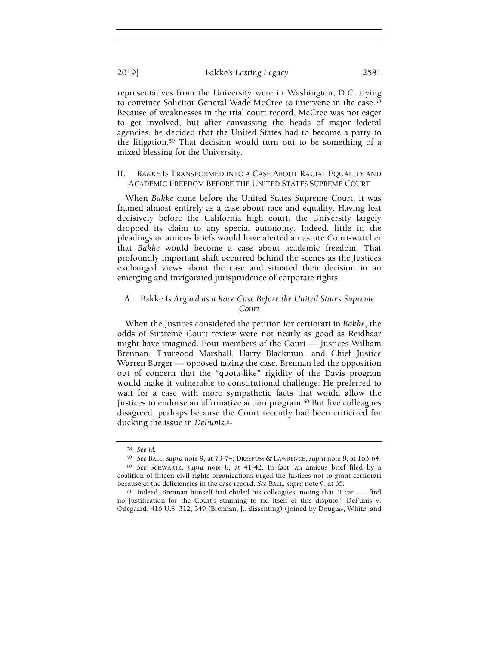representatives from the University were in Washington, D.C. trying to convince Solicitor General Wade McCree to intervene in the case.<sup>58</sup> Because of weaknesses in the trial court record, McCree was not eager to get involved, but after canvassing the heads of major federal agencies, he decided that the United States had to become a party to the litigation.59 That decision would turn out to be something of a mixed blessing for the University.

## II. BAKKE IS TRANSFORMED INTO A CASE ABOUT RACIAL EQUALITY AND ACADEMIC FREEDOM BEFORE THE UNITED STATES SUPREME COURT

When Bakke came before the United States Supreme Court, it was framed almost entirely as a case about race and equality. Having lost decisively before the California high court, the University largely dropped its claim to any special autonomy. Indeed, little in the pleadings or amicus briefs would have alerted an astute Court-watcher that Bakke would become a case about academic freedom. That profoundly important shift occurred behind the scenes as the Justices exchanged views about the case and situated their decision in an emerging and invigorated jurisprudence of corporate rights.

# A. Bakke Is Argued as a Race Case Before the United States Supreme Court

When the Justices considered the petition for certiorari in Bakke, the odds of Supreme Court review were not nearly as good as Reidhaar might have imagined. Four members of the Court — Justices William Brennan, Thurgood Marshall, Harry Blackmun, and Chief Justice Warren Burger — opposed taking the case. Brennan led the opposition out of concern that the "quota-like" rigidity of the Davis program would make it vulnerable to constitutional challenge. He preferred to wait for a case with more sympathetic facts that would allow the Justices to endorse an affirmative action program.<sup>60</sup> But five colleagues disagreed, perhaps because the Court recently had been criticized for ducking the issue in DeFunis.<sup>61</sup>

<sup>58</sup> See id.

<sup>59</sup> See BALL, supra note 9, at 73-74; DREYFUSS & LAWRENCE, supra note 8, at 163-64.

<sup>60</sup> See SCHWARTZ, supra note 8, at 41-42. In fact, an amicus brief filed by a coalition of fifteen civil rights organizations urged the Justices not to grant certiorari because of the deficiencies in the case record. See BALL, supra note 9, at 65.

<sup>61</sup> Indeed, Brennan himself had chided his colleagues, noting that "I can . . . find no justification for the Court's straining to rid itself of this dispute." DeFunis v. Odegaard, 416 U.S. 312, 349 (Brennan, J., dissenting) (joined by Douglas, White, and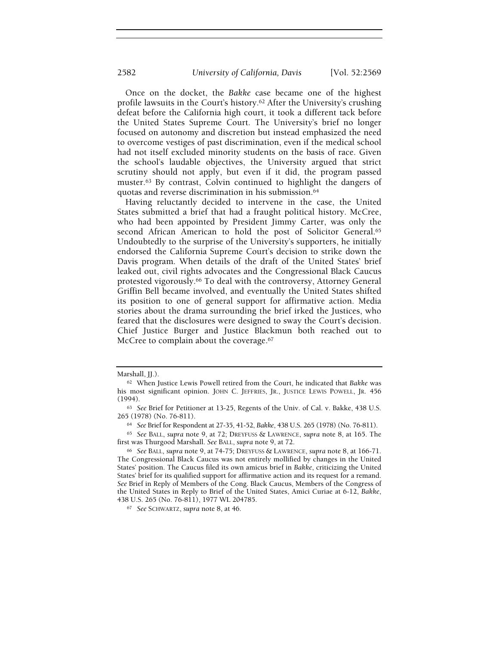Once on the docket, the Bakke case became one of the highest profile lawsuits in the Court's history.<sup>62</sup> After the University's crushing defeat before the California high court, it took a different tack before the United States Supreme Court. The University's brief no longer focused on autonomy and discretion but instead emphasized the need to overcome vestiges of past discrimination, even if the medical school had not itself excluded minority students on the basis of race. Given the school's laudable objectives, the University argued that strict scrutiny should not apply, but even if it did, the program passed muster.63 By contrast, Colvin continued to highlight the dangers of quotas and reverse discrimination in his submission.<sup>64</sup>

Having reluctantly decided to intervene in the case, the United States submitted a brief that had a fraught political history. McCree, who had been appointed by President Jimmy Carter, was only the second African American to hold the post of Solicitor General.<sup>65</sup> Undoubtedly to the surprise of the University's supporters, he initially endorsed the California Supreme Court's decision to strike down the Davis program. When details of the draft of the United States' brief leaked out, civil rights advocates and the Congressional Black Caucus protested vigorously.66 To deal with the controversy, Attorney General Griffin Bell became involved, and eventually the United States shifted its position to one of general support for affirmative action. Media stories about the drama surrounding the brief irked the Justices, who feared that the disclosures were designed to sway the Court's decision. Chief Justice Burger and Justice Blackmun both reached out to McCree to complain about the coverage.<sup>67</sup>

Marshall, *JJ.*).

<sup>62</sup> When Justice Lewis Powell retired from the Court, he indicated that Bakke was his most significant opinion. JOHN C. JEFFRIES, JR., JUSTICE LEWIS POWELL, JR. 456 (1994).

<sup>63</sup> See Brief for Petitioner at 13-25, Regents of the Univ. of Cal. v. Bakke, 438 U.S. 265 (1978) (No. 76-811).

<sup>64</sup> See Brief for Respondent at 27-35, 41-52, Bakke, 438 U.S. 265 (1978) (No. 76-811).

<sup>65</sup> See BALL, supra note 9, at 72; DREYFUSS & LAWRENCE, supra note 8, at 165. The first was Thurgood Marshall. See BALL, supra note 9, at 72.

<sup>66</sup> See BALL, supra note 9, at 74-75; DREYFUSS & LAWRENCE, supra note 8, at 166-71. The Congressional Black Caucus was not entirely mollified by changes in the United States' position. The Caucus filed its own amicus brief in Bakke, criticizing the United States' brief for its qualified support for affirmative action and its request for a remand. See Brief in Reply of Members of the Cong. Black Caucus, Members of the Congress of the United States in Reply to Brief of the United States, Amici Curiae at 6-12, Bakke, 438 U.S. 265 (No. 76-811), 1977 WL 204785.

<sup>67</sup> See SCHWARTZ, supra note 8, at 46.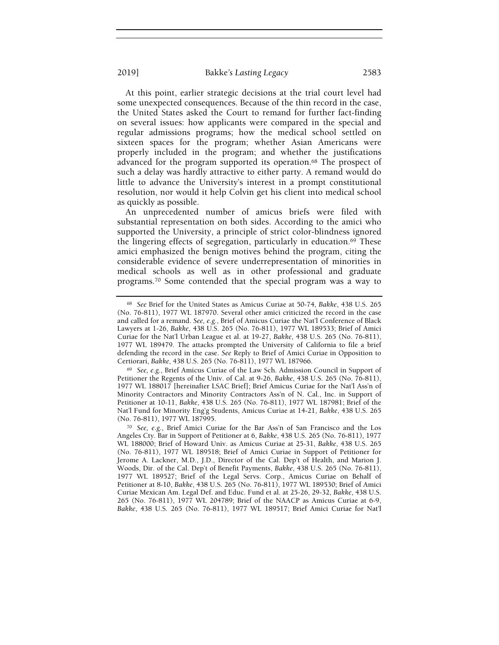At this point, earlier strategic decisions at the trial court level had some unexpected consequences. Because of the thin record in the case, the United States asked the Court to remand for further fact-finding on several issues: how applicants were compared in the special and regular admissions programs; how the medical school settled on sixteen spaces for the program; whether Asian Americans were properly included in the program; and whether the justifications advanced for the program supported its operation.68 The prospect of such a delay was hardly attractive to either party. A remand would do little to advance the University's interest in a prompt constitutional resolution, nor would it help Colvin get his client into medical school

as quickly as possible. An unprecedented number of amicus briefs were filed with substantial representation on both sides. According to the amici who supported the University, a principle of strict color-blindness ignored the lingering effects of segregation, particularly in education.69 These amici emphasized the benign motives behind the program, citing the considerable evidence of severe underrepresentation of minorities in medical schools as well as in other professional and graduate programs.70 Some contended that the special program was a way to

<sup>68</sup> See Brief for the United States as Amicus Curiae at 50-74, Bakke, 438 U.S. 265 (No. 76-811), 1977 WL 187970. Several other amici criticized the record in the case and called for a remand. See, e.g., Brief of Amicus Curiae the Nat'l Conference of Black Lawyers at 1-26, Bakke, 438 U.S. 265 (No. 76-811), 1977 WL 189533; Brief of Amici Curiae for the Nat'l Urban League et al. at 19-27, Bakke, 438 U.S. 265 (No. 76-811), 1977 WL 189479. The attacks prompted the University of California to file a brief defending the record in the case. See Reply to Brief of Amici Curiae in Opposition to Certiorari, Bakke, 438 U.S. 265 (No. 76-811), 1977 WL 187966.

<sup>69</sup> See, e.g., Brief Amicus Curiae of the Law Sch. Admission Council in Support of Petitioner the Regents of the Univ. of Cal. at 9-26, Bakke, 438 U.S. 265 (No. 76-811), 1977 WL 188017 [hereinafter LSAC Brief]; Brief Amicus Curiae for the Nat'l Ass'n of Minority Contractors and Minority Contractors Ass'n of N. Cal., Inc. in Support of Petitioner at 10-11, Bakke, 438 U.S. 265 (No. 76-811), 1977 WL 187981; Brief of the Nat'l Fund for Minority Eng'g Students, Amicus Curiae at 14-21, Bakke, 438 U.S. 265 (No. 76-811), 1977 WL 187995.

<sup>70</sup> See, e.g., Brief Amici Curiae for the Bar Ass'n of San Francisco and the Los Angeles Cty. Bar in Support of Petitioner at 6, Bakke, 438 U.S. 265 (No. 76-811), 1977 WL 188000; Brief of Howard Univ. as Amicus Curiae at 25-31, Bakke, 438 U.S. 265 (No. 76-811), 1977 WL 189518; Brief of Amici Curiae in Support of Petitioner for Jerome A. Lackner, M.D., J.D., Director of the Cal. Dep't of Health, and Marion J. Woods, Dir. of the Cal. Dep't of Benefit Payments, Bakke, 438 U.S. 265 (No. 76-811), 1977 WL 189527; Brief of the Legal Servs. Corp., Amicus Curiae on Behalf of Petitioner at 8-10, Bakke, 438 U.S. 265 (No. 76-811), 1977 WL 189530; Brief of Amici Curiae Mexican Am. Legal Def. and Educ. Fund et al. at 25-26, 29-32, Bakke, 438 U.S. 265 (No. 76-811), 1977 WL 204789; Brief of the NAACP as Amicus Curiae at 6-9, Bakke, 438 U.S. 265 (No. 76-811), 1977 WL 189517; Brief Amici Curiae for Nat'l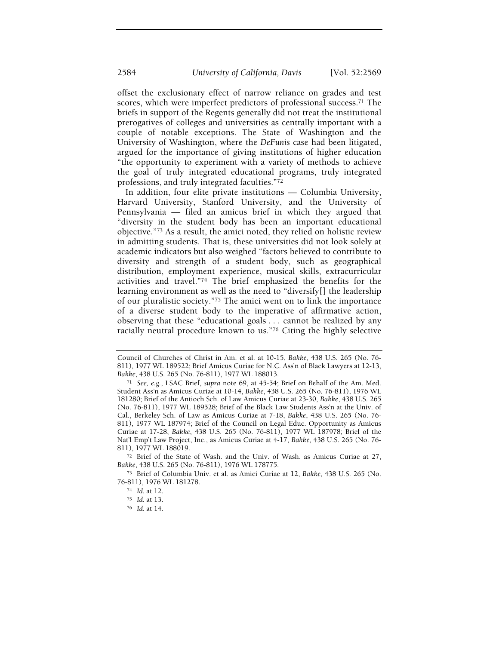offset the exclusionary effect of narrow reliance on grades and test scores, which were imperfect predictors of professional success.71 The briefs in support of the Regents generally did not treat the institutional prerogatives of colleges and universities as centrally important with a couple of notable exceptions. The State of Washington and the University of Washington, where the DeFunis case had been litigated, argued for the importance of giving institutions of higher education "the opportunity to experiment with a variety of methods to achieve the goal of truly integrated educational programs, truly integrated professions, and truly integrated faculties."<sup>72</sup>

In addition, four elite private institutions — Columbia University, Harvard University, Stanford University, and the University of Pennsylvania — filed an amicus brief in which they argued that "diversity in the student body has been an important educational objective."73 As a result, the amici noted, they relied on holistic review in admitting students. That is, these universities did not look solely at academic indicators but also weighed "factors believed to contribute to diversity and strength of a student body, such as geographical distribution, employment experience, musical skills, extracurricular activities and travel."74 The brief emphasized the benefits for the learning environment as well as the need to "diversify[] the leadership of our pluralistic society."75 The amici went on to link the importance of a diverse student body to the imperative of affirmative action, observing that these "educational goals . . . cannot be realized by any racially neutral procedure known to us."76 Citing the highly selective

Council of Churches of Christ in Am. et al. at 10-15, Bakke, 438 U.S. 265 (No. 76- 811), 1977 WL 189522; Brief Amicus Curiae for N.C. Ass'n of Black Lawyers at 12-13, Bakke, 438 U.S. 265 (No. 76-811), 1977 WL 188013.

<sup>71</sup> See, e.g., LSAC Brief, supra note 69, at 45-54; Brief on Behalf of the Am. Med. Student Ass'n as Amicus Curiae at 10-14, Bakke, 438 U.S. 265 (No. 76-811), 1976 WL 181280; Brief of the Antioch Sch. of Law Amicus Curiae at 23-30, Bakke, 438 U.S. 265 (No. 76-811), 1977 WL 189528; Brief of the Black Law Students Ass'n at the Univ. of Cal., Berkeley Sch. of Law as Amicus Curiae at 7-18, Bakke, 438 U.S. 265 (No. 76- 811), 1977 WL 187974; Brief of the Council on Legal Educ. Opportunity as Amicus Curiae at 17-28, Bakke, 438 U.S. 265 (No. 76-811), 1977 WL 187978; Brief of the Nat'l Emp't Law Project, Inc., as Amicus Curiae at 4-17, Bakke, 438 U.S. 265 (No. 76- 811), 1977 WL 188019.

<sup>72</sup> Brief of the State of Wash. and the Univ. of Wash. as Amicus Curiae at 27, Bakke, 438 U.S. 265 (No. 76-811), 1976 WL 178775.

<sup>73</sup> Brief of Columbia Univ. et al. as Amici Curiae at 12, Bakke, 438 U.S. 265 (No. 76-811), 1976 WL 181278.

<sup>74</sup> Id. at 12.

<sup>75</sup> Id. at 13.

<sup>76</sup> Id. at 14.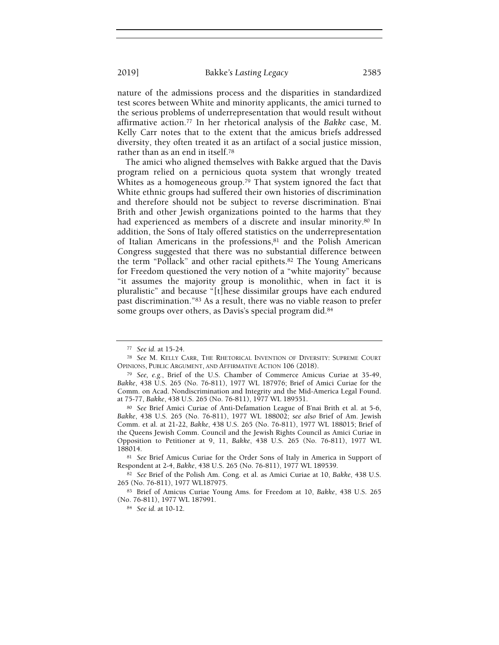nature of the admissions process and the disparities in standardized test scores between White and minority applicants, the amici turned to the serious problems of underrepresentation that would result without affirmative action.77 In her rhetorical analysis of the Bakke case, M. Kelly Carr notes that to the extent that the amicus briefs addressed diversity, they often treated it as an artifact of a social justice mission, rather than as an end in itself.<sup>78</sup>

The amici who aligned themselves with Bakke argued that the Davis program relied on a pernicious quota system that wrongly treated Whites as a homogeneous group.<sup>79</sup> That system ignored the fact that White ethnic groups had suffered their own histories of discrimination and therefore should not be subject to reverse discrimination. B'nai Brith and other Jewish organizations pointed to the harms that they had experienced as members of a discrete and insular minority.<sup>80</sup> In addition, the Sons of Italy offered statistics on the underrepresentation of Italian Americans in the professions,<sup>81</sup> and the Polish American Congress suggested that there was no substantial difference between the term "Pollack" and other racial epithets.82 The Young Americans for Freedom questioned the very notion of a "white majority" because "it assumes the majority group is monolithic, when in fact it is pluralistic" and because "[t]hese dissimilar groups have each endured past discrimination."83 As a result, there was no viable reason to prefer some groups over others, as Davis's special program did.<sup>84</sup>

<sup>77</sup> See id. at 15-24.

<sup>78</sup> See M. KELLY CARR, THE RHETORICAL INVENTION OF DIVERSITY: SUPREME COURT OPINIONS, PUBLIC ARGUMENT, AND AFFIRMATIVE ACTION 106 (2018).

<sup>79</sup> See, e.g., Brief of the U.S. Chamber of Commerce Amicus Curiae at 35-49, Bakke, 438 U.S. 265 (No. 76-811), 1977 WL 187976; Brief of Amici Curiae for the Comm. on Acad. Nondiscrimination and Integrity and the Mid-America Legal Found. at 75-77, Bakke, 438 U.S. 265 (No. 76-811), 1977 WL 189551.

<sup>80</sup> See Brief Amici Curiae of Anti-Defamation League of B'nai Brith et al. at 5-6, Bakke, 438 U.S. 265 (No. 76-811), 1977 WL 188002; see also Brief of Am. Jewish Comm. et al. at 21-22, Bakke, 438 U.S. 265 (No. 76-811), 1977 WL 188015; Brief of the Queens Jewish Comm. Council and the Jewish Rights Council as Amici Curiae in Opposition to Petitioner at 9, 11, Bakke, 438 U.S. 265 (No. 76-811), 1977 WL 188014.

<sup>81</sup> See Brief Amicus Curiae for the Order Sons of Italy in America in Support of Respondent at 2-4, Bakke, 438 U.S. 265 (No. 76-811), 1977 WL 189539.

<sup>82</sup> See Brief of the Polish Am. Cong. et al. as Amici Curiae at 10, Bakke, 438 U.S. 265 (No. 76-811), 1977 WL187975.

<sup>83</sup> Brief of Amicus Curiae Young Ams. for Freedom at 10, Bakke, 438 U.S. 265 (No. 76-811), 1977 WL 187991.

<sup>84</sup> See id. at 10-12.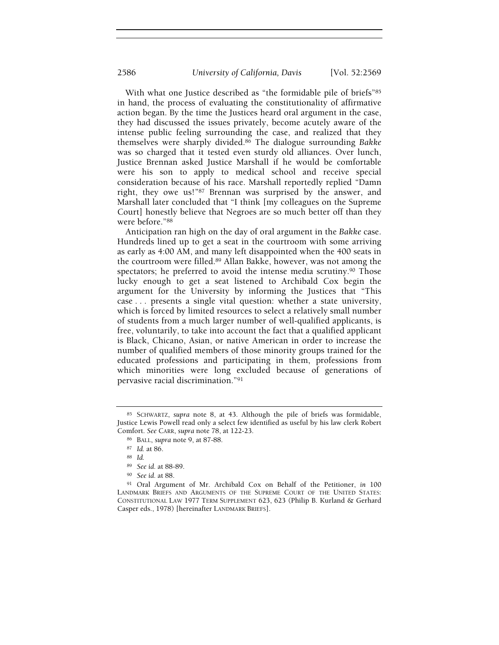With what one Justice described as "the formidable pile of briefs"85 in hand, the process of evaluating the constitutionality of affirmative action began. By the time the Justices heard oral argument in the case, they had discussed the issues privately, become acutely aware of the intense public feeling surrounding the case, and realized that they themselves were sharply divided.86 The dialogue surrounding Bakke was so charged that it tested even sturdy old alliances. Over lunch, Justice Brennan asked Justice Marshall if he would be comfortable were his son to apply to medical school and receive special consideration because of his race. Marshall reportedly replied "Damn right, they owe us!"87 Brennan was surprised by the answer, and Marshall later concluded that "I think [my colleagues on the Supreme Court] honestly believe that Negroes are so much better off than they were before."<sup>88</sup>

Anticipation ran high on the day of oral argument in the Bakke case. Hundreds lined up to get a seat in the courtroom with some arriving as early as 4:00 AM, and many left disappointed when the 400 seats in the courtroom were filled.89 Allan Bakke, however, was not among the spectators; he preferred to avoid the intense media scrutiny.<sup>90</sup> Those lucky enough to get a seat listened to Archibald Cox begin the argument for the University by informing the Justices that "This case . . . presents a single vital question: whether a state university, which is forced by limited resources to select a relatively small number of students from a much larger number of well-qualified applicants, is free, voluntarily, to take into account the fact that a qualified applicant is Black, Chicano, Asian, or native American in order to increase the number of qualified members of those minority groups trained for the educated professions and participating in them, professions from which minorities were long excluded because of generations of pervasive racial discrimination."<sup>91</sup>

<sup>85</sup> SCHWARTZ, supra note 8, at 43. Although the pile of briefs was formidable, Justice Lewis Powell read only a select few identified as useful by his law clerk Robert Comfort. See CARR, supra note 78, at 122-23.

<sup>86</sup> BALL, supra note 9, at 87-88.

<sup>87</sup> Id. at 86.

<sup>88</sup> Id.

<sup>89</sup> See id. at 88-89.

<sup>90</sup> See id. at 88.

<sup>91</sup> Oral Argument of Mr. Archibald Cox on Behalf of the Petitioner, in 100 LANDMARK BRIEFS AND ARGUMENTS OF THE SUPREME COURT OF THE UNITED STATES: CONSTITUTIONAL LAW 1977 TERM SUPPLEMENT 623, 623 (Philip B. Kurland & Gerhard Casper eds., 1978) [hereinafter LANDMARK BRIEFS].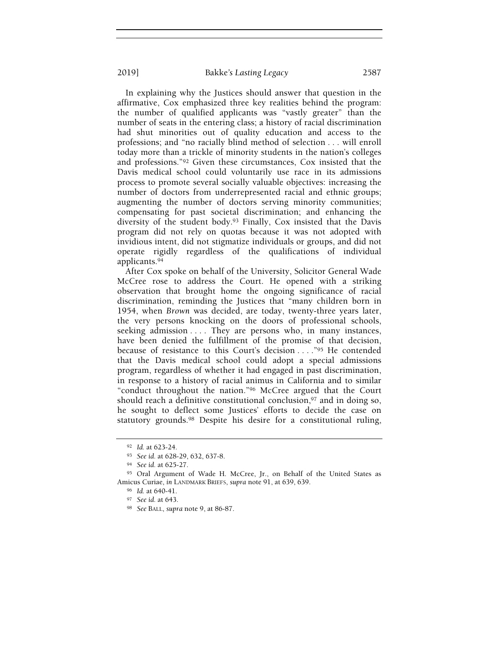In explaining why the Justices should answer that question in the affirmative, Cox emphasized three key realities behind the program: the number of qualified applicants was "vastly greater" than the number of seats in the entering class; a history of racial discrimination had shut minorities out of quality education and access to the professions; and "no racially blind method of selection . . . will enroll today more than a trickle of minority students in the nation's colleges and professions."92 Given these circumstances, Cox insisted that the Davis medical school could voluntarily use race in its admissions process to promote several socially valuable objectives: increasing the number of doctors from underrepresented racial and ethnic groups; augmenting the number of doctors serving minority communities; compensating for past societal discrimination; and enhancing the diversity of the student body.93 Finally, Cox insisted that the Davis program did not rely on quotas because it was not adopted with invidious intent, did not stigmatize individuals or groups, and did not operate rigidly regardless of the qualifications of individual applicants.<sup>94</sup>

After Cox spoke on behalf of the University, Solicitor General Wade McCree rose to address the Court. He opened with a striking observation that brought home the ongoing significance of racial discrimination, reminding the Justices that "many children born in 1954, when Brown was decided, are today, twenty-three years later, the very persons knocking on the doors of professional schools, seeking admission . . . . They are persons who, in many instances, have been denied the fulfillment of the promise of that decision, because of resistance to this Court's decision . . . . "95 He contended that the Davis medical school could adopt a special admissions program, regardless of whether it had engaged in past discrimination, in response to a history of racial animus in California and to similar "conduct throughout the nation."96 McCree argued that the Court should reach a definitive constitutional conclusion,<sup>97</sup> and in doing so, he sought to deflect some Justices' efforts to decide the case on statutory grounds.98 Despite his desire for a constitutional ruling,

<sup>92</sup> Id. at 623-24.

<sup>93</sup> See id. at 628-29, 632, 637-8.

<sup>94</sup> See id. at 625-27.

<sup>95</sup> Oral Argument of Wade H. McCree, Jr., on Behalf of the United States as Amicus Curiae, in LANDMARK BRIEFS, supra note 91, at 639, 639.

<sup>96</sup> Id. at 640-41.

<sup>97</sup> See id. at 643.

<sup>98</sup> See BALL, supra note 9, at 86-87.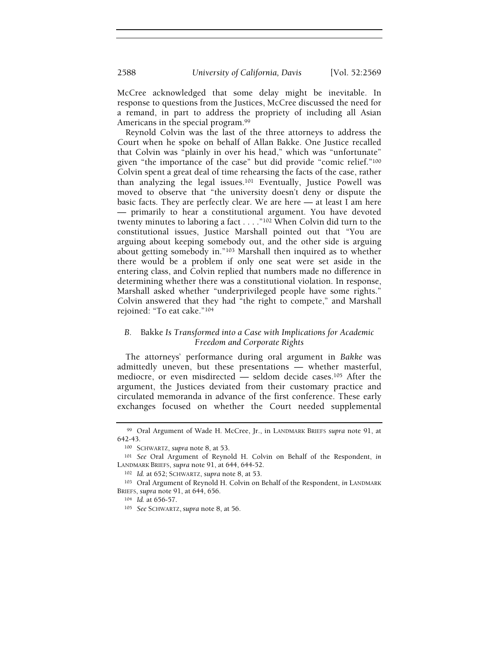McCree acknowledged that some delay might be inevitable. In response to questions from the Justices, McCree discussed the need for a remand, in part to address the propriety of including all Asian Americans in the special program.<sup>99</sup>

Reynold Colvin was the last of the three attorneys to address the Court when he spoke on behalf of Allan Bakke. One Justice recalled that Colvin was "plainly in over his head," which was "unfortunate" given "the importance of the case" but did provide "comic relief."<sup>100</sup> Colvin spent a great deal of time rehearsing the facts of the case, rather than analyzing the legal issues.101 Eventually, Justice Powell was moved to observe that "the university doesn't deny or dispute the basic facts. They are perfectly clear. We are here — at least I am here — primarily to hear a constitutional argument. You have devoted twenty minutes to laboring a fact . . . ."102 When Colvin did turn to the constitutional issues, Justice Marshall pointed out that "You are arguing about keeping somebody out, and the other side is arguing about getting somebody in."103 Marshall then inquired as to whether there would be a problem if only one seat were set aside in the entering class, and Colvin replied that numbers made no difference in determining whether there was a constitutional violation. In response, Marshall asked whether "underprivileged people have some rights." Colvin answered that they had "the right to compete," and Marshall rejoined: "To eat cake."<sup>104</sup>

# B. Bakke Is Transformed into a Case with Implications for Academic Freedom and Corporate Rights

The attorneys' performance during oral argument in Bakke was admittedly uneven, but these presentations — whether masterful, mediocre, or even misdirected — seldom decide cases.105 After the argument, the Justices deviated from their customary practice and circulated memoranda in advance of the first conference. These early exchanges focused on whether the Court needed supplemental

<sup>99</sup> Oral Argument of Wade H. McCree, Jr., in LANDMARK BRIEFS supra note 91, at 642-43.

<sup>100</sup> SCHWARTZ, supra note 8, at 53.

<sup>101</sup> See Oral Argument of Reynold H. Colvin on Behalf of the Respondent, in LANDMARK BRIEFS, supra note 91, at 644, 644-52.

<sup>102</sup> Id. at 652; SCHWARTZ, supra note 8, at 53.

<sup>103</sup> Oral Argument of Reynold H. Colvin on Behalf of the Respondent, in LANDMARK BRIEFS, supra note 91, at 644, 656.

<sup>104</sup> Id. at 656-57.

<sup>105</sup> See SCHWARTZ, supra note 8, at 56.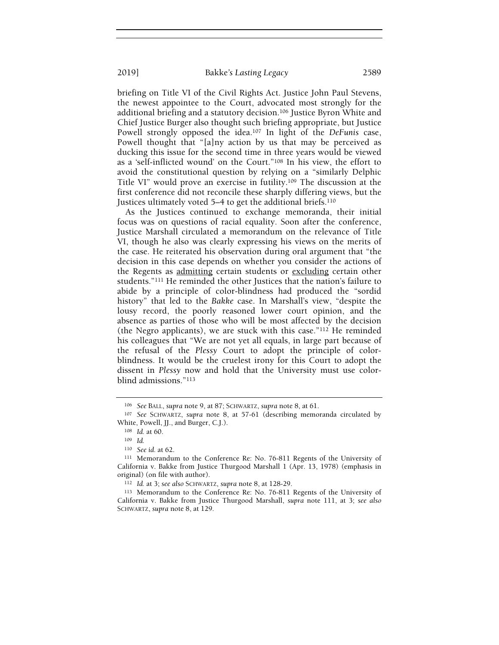briefing on Title VI of the Civil Rights Act. Justice John Paul Stevens, the newest appointee to the Court, advocated most strongly for the additional briefing and a statutory decision.106 Justice Byron White and Chief Justice Burger also thought such briefing appropriate, but Justice Powell strongly opposed the idea.<sup>107</sup> In light of the *DeFunis* case, Powell thought that "[a]ny action by us that may be perceived as ducking this issue for the second time in three years would be viewed as a 'self-inflicted wound' on the Court."108 In his view, the effort to avoid the constitutional question by relying on a "similarly Delphic Title VI" would prove an exercise in futility.109 The discussion at the first conference did not reconcile these sharply differing views, but the Justices ultimately voted 5–4 to get the additional briefs.<sup>110</sup>

As the Justices continued to exchange memoranda, their initial focus was on questions of racial equality. Soon after the conference, Justice Marshall circulated a memorandum on the relevance of Title VI, though he also was clearly expressing his views on the merits of the case. He reiterated his observation during oral argument that "the decision in this case depends on whether you consider the actions of the Regents as admitting certain students or excluding certain other students."111 He reminded the other Justices that the nation's failure to abide by a principle of color-blindness had produced the "sordid history" that led to the Bakke case. In Marshall's view, "despite the lousy record, the poorly reasoned lower court opinion, and the absence as parties of those who will be most affected by the decision (the Negro applicants), we are stuck with this case."112 He reminded his colleagues that "We are not yet all equals, in large part because of the refusal of the Plessy Court to adopt the principle of colorblindness. It would be the cruelest irony for this Court to adopt the dissent in Plessy now and hold that the University must use colorblind admissions."<sup>113</sup>

<sup>106</sup> See BALL, supra note 9, at 87; SCHWARTZ, supra note 8, at 61.

<sup>107</sup> See SCHWARTZ, supra note 8, at 57-61 (describing memoranda circulated by White, Powell, JJ., and Burger, C.J.).

<sup>108</sup> Id. at 60.

<sup>109</sup> Id.

<sup>110</sup> See id. at 62.

<sup>111</sup> Memorandum to the Conference Re: No. 76-811 Regents of the University of California v. Bakke from Justice Thurgood Marshall 1 (Apr. 13, 1978) (emphasis in original) (on file with author).

<sup>112</sup> Id. at 3; see also SCHWARTZ, supra note 8, at 128-29.

<sup>113</sup> Memorandum to the Conference Re: No. 76-811 Regents of the University of California v. Bakke from Justice Thurgood Marshall, supra note 111, at 3; see also SCHWARTZ, supra note 8, at 129.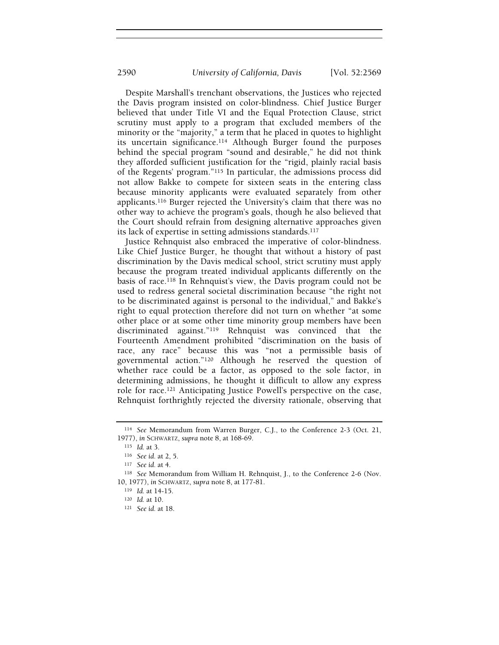Despite Marshall's trenchant observations, the Justices who rejected the Davis program insisted on color-blindness. Chief Justice Burger believed that under Title VI and the Equal Protection Clause, strict scrutiny must apply to a program that excluded members of the minority or the "majority," a term that he placed in quotes to highlight its uncertain significance.114 Although Burger found the purposes behind the special program "sound and desirable," he did not think they afforded sufficient justification for the "rigid, plainly racial basis of the Regents' program."115 In particular, the admissions process did not allow Bakke to compete for sixteen seats in the entering class because minority applicants were evaluated separately from other applicants.116 Burger rejected the University's claim that there was no other way to achieve the program's goals, though he also believed that the Court should refrain from designing alternative approaches given its lack of expertise in setting admissions standards.<sup>117</sup>

Justice Rehnquist also embraced the imperative of color-blindness. Like Chief Justice Burger, he thought that without a history of past discrimination by the Davis medical school, strict scrutiny must apply because the program treated individual applicants differently on the basis of race.118 In Rehnquist's view, the Davis program could not be used to redress general societal discrimination because "the right not to be discriminated against is personal to the individual," and Bakke's right to equal protection therefore did not turn on whether "at some other place or at some other time minority group members have been discriminated against."119 Rehnquist was convinced that the Fourteenth Amendment prohibited "discrimination on the basis of race, any race" because this was "not a permissible basis of governmental action."120 Although he reserved the question of whether race could be a factor, as opposed to the sole factor, in determining admissions, he thought it difficult to allow any express role for race.121 Anticipating Justice Powell's perspective on the case, Rehnquist forthrightly rejected the diversity rationale, observing that

<sup>114</sup> See Memorandum from Warren Burger, C.J., to the Conference 2-3 (Oct. 21, 1977), in SCHWARTZ, supra note 8, at 168-69.

<sup>115</sup> Id. at 3.

<sup>116</sup> See id. at 2, 5.

<sup>117</sup> See id. at 4.

<sup>118</sup> See Memorandum from William H. Rehnquist, J., to the Conference 2-6 (Nov. 10, 1977), in SCHWARTZ, supra note 8, at 177-81.

<sup>119</sup> Id. at 14-15.

<sup>120</sup> Id. at 10.

<sup>121</sup> See id. at 18.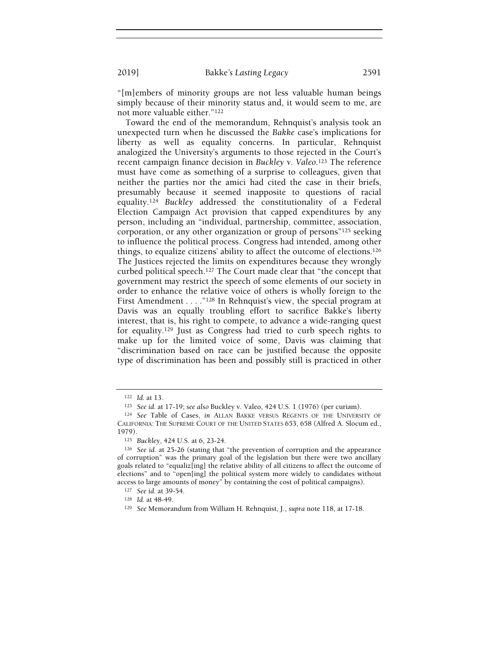"[m]embers of minority groups are not less valuable human beings simply because of their minority status and, it would seem to me, are not more valuable either."<sup>122</sup>

Toward the end of the memorandum, Rehnquist's analysis took an unexpected turn when he discussed the Bakke case's implications for liberty as well as equality concerns. In particular, Rehnquist analogized the University's arguments to those rejected in the Court's recent campaign finance decision in Buckley v. Valeo.123 The reference must have come as something of a surprise to colleagues, given that neither the parties nor the amici had cited the case in their briefs, presumably because it seemed inapposite to questions of racial equality.<sup>124</sup> Buckley addressed the constitutionality of a Federal Election Campaign Act provision that capped expenditures by any person, including an "individual, partnership, committee, association, corporation, or any other organization or group of persons"125 seeking to influence the political process. Congress had intended, among other things, to equalize citizens' ability to affect the outcome of elections.<sup>126</sup> The Justices rejected the limits on expenditures because they wrongly curbed political speech.127 The Court made clear that "the concept that government may restrict the speech of some elements of our society in order to enhance the relative voice of others is wholly foreign to the First Amendment . . . . "<sup>128</sup> In Rehnquist's view, the special program at Davis was an equally troubling effort to sacrifice Bakke's liberty interest, that is, his right to compete, to advance a wide-ranging quest for equality.129 Just as Congress had tried to curb speech rights to make up for the limited voice of some, Davis was claiming that "discrimination based on race can be justified because the opposite type of discrimination has been and possibly still is practiced in other

<sup>122</sup> Id. at 13.

<sup>123</sup> See id. at 17-19; see also Buckley v. Valeo, 424 U.S. 1 (1976) (per curiam).

<sup>124</sup> See Table of Cases, in ALLAN BAKKE VERSUS REGENTS OF THE UNIVERSITY OF CALIFORNIA: THE SUPREME COURT OF THE UNITED STATES 653, 658 (Alfred A. Slocum ed., 1979).

<sup>125</sup> Buckley, 424 U.S. at 6, 23-24.

<sup>126</sup> See id. at 25-26 (stating that "the prevention of corruption and the appearance of corruption" was the primary goal of the legislation but there were two ancillary goals related to "equaliz[ing] the relative ability of all citizens to affect the outcome of elections" and to "open[ing] the political system more widely to candidates without access to large amounts of money" by containing the cost of political campaigns).

<sup>127</sup> See id. at 39-54.

<sup>128</sup> Id. at 48-49.

<sup>129</sup> See Memorandum from William H. Rehnquist, J., supra note 118, at 17-18.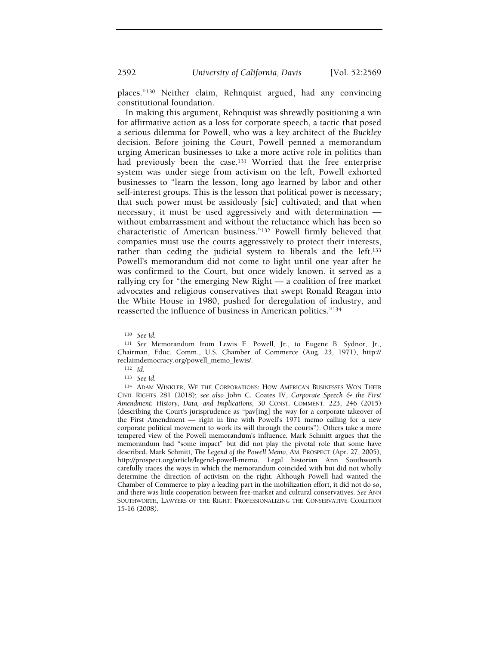places."130 Neither claim, Rehnquist argued, had any convincing constitutional foundation.

In making this argument, Rehnquist was shrewdly positioning a win for affirmative action as a loss for corporate speech, a tactic that posed a serious dilemma for Powell, who was a key architect of the Buckley decision. Before joining the Court, Powell penned a memorandum urging American businesses to take a more active role in politics than had previously been the case.131 Worried that the free enterprise system was under siege from activism on the left, Powell exhorted businesses to "learn the lesson, long ago learned by labor and other self-interest groups. This is the lesson that political power is necessary; that such power must be assidously [sic] cultivated; and that when necessary, it must be used aggressively and with determination without embarrassment and without the reluctance which has been so characteristic of American business."132 Powell firmly believed that companies must use the courts aggressively to protect their interests, rather than ceding the judicial system to liberals and the left.<sup>133</sup> Powell's memorandum did not come to light until one year after he was confirmed to the Court, but once widely known, it served as a rallying cry for "the emerging New Right — a coalition of free market advocates and religious conservatives that swept Ronald Reagan into the White House in 1980, pushed for deregulation of industry, and reasserted the influence of business in American politics."<sup>134</sup>

<sup>130</sup> See id.

<sup>131</sup> See Memorandum from Lewis F. Powell, Jr., to Eugene B. Sydnor, Jr., Chairman, Educ. Comm., U.S. Chamber of Commerce (Aug. 23, 1971), http:// reclaimdemocracy.org/powell\_memo\_lewis/.

<sup>132</sup> Id.

<sup>133</sup> See id.

<sup>134</sup> ADAM WINKLER, WE THE CORPORATIONS: HOW AMERICAN BUSINESSES WON THEIR CIVIL RIGHTS 281 (2018); see also John C. Coates IV, Corporate Speech & the First Amendment: History, Data, and Implications, 30 CONST. COMMENT. 223, 246 (2015) (describing the Court's jurisprudence as "pav[ing] the way for a corporate takeover of the First Amendment — right in line with Powell's 1971 memo calling for a new corporate political movement to work its will through the courts"). Others take a more tempered view of the Powell memorandum's influence. Mark Schmitt argues that the memorandum had "some impact" but did not play the pivotal role that some have described. Mark Schmitt, The Legend of the Powell Memo, AM. PROSPECT (Apr. 27, 2005), http://prospect.org/article/legend-powell-memo. Legal historian Ann Southworth carefully traces the ways in which the memorandum coincided with but did not wholly determine the direction of activism on the right. Although Powell had wanted the Chamber of Commerce to play a leading part in the mobilization effort, it did not do so, and there was little cooperation between free-market and cultural conservatives. See ANN SOUTHWORTH, LAWYERS OF THE RIGHT: PROFESSIONALIZING THE CONSERVATIVE COALITION 15-16 (2008).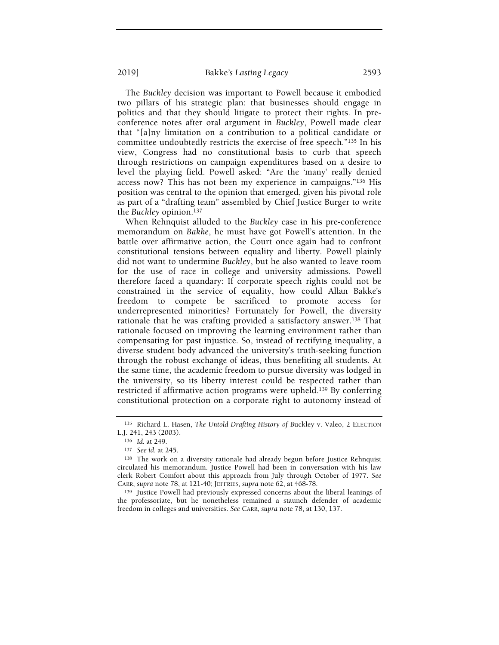The Buckley decision was important to Powell because it embodied two pillars of his strategic plan: that businesses should engage in politics and that they should litigate to protect their rights. In preconference notes after oral argument in Buckley, Powell made clear that "[a]ny limitation on a contribution to a political candidate or committee undoubtedly restricts the exercise of free speech."135 In his view, Congress had no constitutional basis to curb that speech through restrictions on campaign expenditures based on a desire to

level the playing field. Powell asked: "Are the 'many' really denied access now? This has not been my experience in campaigns."136 His position was central to the opinion that emerged, given his pivotal role as part of a "drafting team" assembled by Chief Justice Burger to write the Buckley opinion.<sup>137</sup>

When Rehnquist alluded to the Buckley case in his pre-conference memorandum on Bakke, he must have got Powell's attention. In the battle over affirmative action, the Court once again had to confront constitutional tensions between equality and liberty. Powell plainly did not want to undermine Buckley, but he also wanted to leave room for the use of race in college and university admissions. Powell therefore faced a quandary: If corporate speech rights could not be constrained in the service of equality, how could Allan Bakke's freedom to compete be sacrificed to promote access for underrepresented minorities? Fortunately for Powell, the diversity rationale that he was crafting provided a satisfactory answer.138 That rationale focused on improving the learning environment rather than compensating for past injustice. So, instead of rectifying inequality, a diverse student body advanced the university's truth-seeking function through the robust exchange of ideas, thus benefiting all students. At the same time, the academic freedom to pursue diversity was lodged in the university, so its liberty interest could be respected rather than restricted if affirmative action programs were upheld.139 By conferring constitutional protection on a corporate right to autonomy instead of

<sup>139</sup> Justice Powell had previously expressed concerns about the liberal leanings of the professoriate, but he nonetheless remained a staunch defender of academic freedom in colleges and universities. See CARR, supra note 78, at 130, 137.

<sup>135</sup> Richard L. Hasen, The Untold Drafting History of Buckley v. Valeo, 2 ELECTION L.J. 241, 243 (2003).

<sup>136</sup> Id. at 249.

<sup>137</sup> See id. at 245.

<sup>138</sup> The work on a diversity rationale had already begun before Justice Rehnquist circulated his memorandum. Justice Powell had been in conversation with his law clerk Robert Comfort about this approach from July through October of 1977. See CARR, supra note 78, at 121-40; JEFFRIES, supra note 62, at 468-78.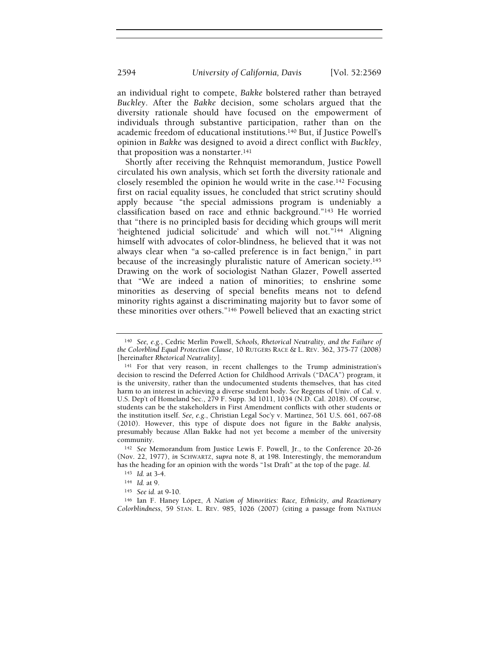an individual right to compete, Bakke bolstered rather than betrayed Buckley. After the Bakke decision, some scholars argued that the diversity rationale should have focused on the empowerment of individuals through substantive participation, rather than on the academic freedom of educational institutions.140 But, if Justice Powell's opinion in Bakke was designed to avoid a direct conflict with Buckley, that proposition was a nonstarter.<sup>141</sup>

Shortly after receiving the Rehnquist memorandum, Justice Powell circulated his own analysis, which set forth the diversity rationale and closely resembled the opinion he would write in the case.142 Focusing first on racial equality issues, he concluded that strict scrutiny should apply because "the special admissions program is undeniably a classification based on race and ethnic background."143 He worried that "there is no principled basis for deciding which groups will merit 'heightened judicial solicitude' and which will not."144 Aligning himself with advocates of color-blindness, he believed that it was not always clear when "a so-called preference is in fact benign," in part because of the increasingly pluralistic nature of American society.<sup>145</sup> Drawing on the work of sociologist Nathan Glazer, Powell asserted that "We are indeed a nation of minorities; to enshrine some minorities as deserving of special benefits means not to defend minority rights against a discriminating majority but to favor some of these minorities over others."146 Powell believed that an exacting strict

 $140$  See, e.g., Cedric Merlin Powell, Schools, Rhetorical Neutrality, and the Failure of the Colorblind Equal Protection Clause, 10 RUTGERS RACE & L. REV. 362, 375-77 (2008) [hereinafter Rhetorical Neutrality].

<sup>141</sup> For that very reason, in recent challenges to the Trump administration's decision to rescind the Deferred Action for Childhood Arrivals ("DACA") program, it is the university, rather than the undocumented students themselves, that has cited harm to an interest in achieving a diverse student body. See Regents of Univ. of Cal. v. U.S. Dep't of Homeland Sec., 279 F. Supp. 3d 1011, 1034 (N.D. Cal. 2018). Of course, students can be the stakeholders in First Amendment conflicts with other students or the institution itself. See, e.g., Christian Legal Soc'y v. Martinez, 561 U.S. 661, 667-68 (2010). However, this type of dispute does not figure in the Bakke analysis, presumably because Allan Bakke had not yet become a member of the university community.

<sup>142</sup> See Memorandum from Justice Lewis F. Powell, Jr., to the Conference 20-26 (Nov. 22, 1977), in SCHWARTZ, supra note 8, at 198. Interestingly, the memorandum has the heading for an opinion with the words "1st Draft" at the top of the page. Id.

<sup>143</sup> Id. at 3-4.

<sup>144</sup> Id. at 9.

<sup>145</sup> See id. at 9-10.

<sup>146</sup> Ian F. Haney López, A Nation of Minorities: Race, Ethnicity, and Reactionary Colorblindness, 59 STAN. L. REV. 985, 1026 (2007) (citing a passage from NATHAN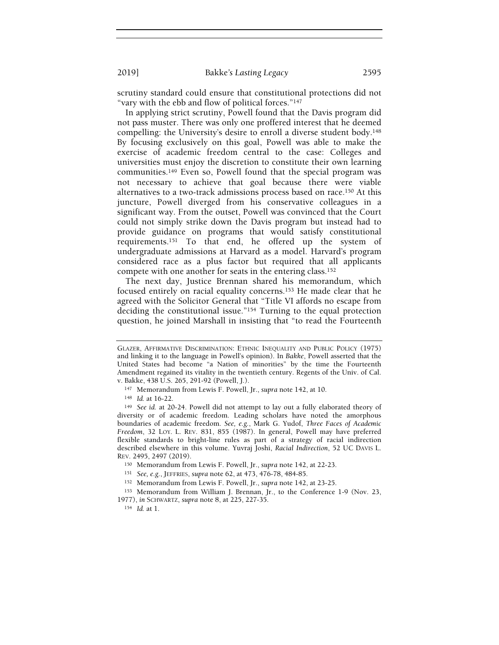scrutiny standard could ensure that constitutional protections did not "vary with the ebb and flow of political forces."<sup>147</sup>

In applying strict scrutiny, Powell found that the Davis program did not pass muster. There was only one proffered interest that he deemed compelling: the University's desire to enroll a diverse student body.<sup>148</sup> By focusing exclusively on this goal, Powell was able to make the exercise of academic freedom central to the case: Colleges and universities must enjoy the discretion to constitute their own learning communities.149 Even so, Powell found that the special program was not necessary to achieve that goal because there were viable alternatives to a two-track admissions process based on race.150 At this juncture, Powell diverged from his conservative colleagues in a significant way. From the outset, Powell was convinced that the Court could not simply strike down the Davis program but instead had to provide guidance on programs that would satisfy constitutional requirements.151 To that end, he offered up the system of undergraduate admissions at Harvard as a model. Harvard's program considered race as a plus factor but required that all applicants compete with one another for seats in the entering class.<sup>152</sup>

The next day, Justice Brennan shared his memorandum, which focused entirely on racial equality concerns.153 He made clear that he agreed with the Solicitor General that "Title VI affords no escape from deciding the constitutional issue."154 Turning to the equal protection question, he joined Marshall in insisting that "to read the Fourteenth

GLAZER, AFFIRMATIVE DISCRIMINATION: ETHNIC INEQUALITY AND PUBLIC POLICY (1975) and linking it to the language in Powell's opinion). In Bakke, Powell asserted that the United States had become "a Nation of minorities" by the time the Fourteenth Amendment regained its vitality in the twentieth century. Regents of the Univ. of Cal. v. Bakke, 438 U.S. 265, 291-92 (Powell, J.).

<sup>147</sup> Memorandum from Lewis F. Powell, Jr., supra note 142, at 10.

<sup>148</sup> Id. at 16-22.

<sup>149</sup> See id. at 20-24. Powell did not attempt to lay out a fully elaborated theory of diversity or of academic freedom. Leading scholars have noted the amorphous boundaries of academic freedom. See, e.g., Mark G. Yudof, Three Faces of Academic Freedom, 32 LOY. L. REV. 831, 855 (1987). In general, Powell may have preferred flexible standards to bright-line rules as part of a strategy of racial indirection described elsewhere in this volume. Yuvraj Joshi, Racial Indirection, 52 UC DAVIS L. REV. 2495, 2497 (2019).

<sup>150</sup> Memorandum from Lewis F. Powell, Jr., supra note 142, at 22-23.

<sup>151</sup> See, e.g., JEFFRIES, supra note 62, at 473, 476-78, 484-85.

<sup>152</sup> Memorandum from Lewis F. Powell, Jr., supra note 142, at 23-25.

<sup>153</sup> Memorandum from William J. Brennan, Jr., to the Conference 1-9 (Nov. 23, 1977), in SCHWARTZ, supra note 8, at 225, 227-35.

<sup>154</sup> Id. at 1.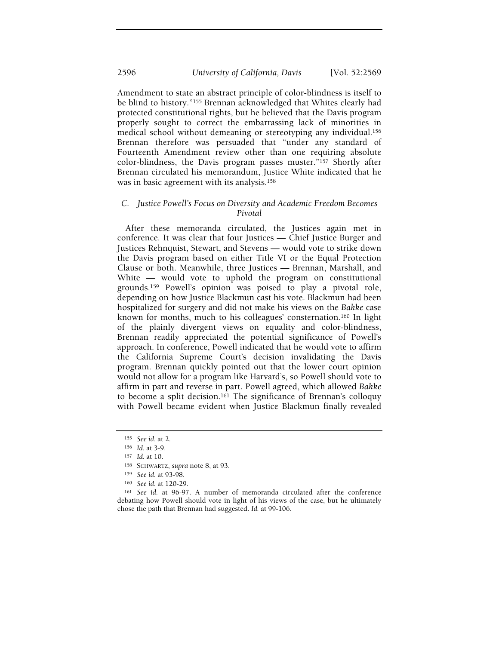Amendment to state an abstract principle of color-blindness is itself to be blind to history."155 Brennan acknowledged that Whites clearly had protected constitutional rights, but he believed that the Davis program properly sought to correct the embarrassing lack of minorities in medical school without demeaning or stereotyping any individual.<sup>156</sup> Brennan therefore was persuaded that "under any standard of Fourteenth Amendment review other than one requiring absolute color-blindness, the Davis program passes muster."157 Shortly after Brennan circulated his memorandum, Justice White indicated that he was in basic agreement with its analysis.<sup>158</sup>

## C. Justice Powell's Focus on Diversity and Academic Freedom Becomes Pivotal

After these memoranda circulated, the Justices again met in conference. It was clear that four Justices — Chief Justice Burger and Justices Rehnquist, Stewart, and Stevens — would vote to strike down the Davis program based on either Title VI or the Equal Protection Clause or both. Meanwhile, three Justices — Brennan, Marshall, and White — would vote to uphold the program on constitutional grounds.159 Powell's opinion was poised to play a pivotal role, depending on how Justice Blackmun cast his vote. Blackmun had been hospitalized for surgery and did not make his views on the Bakke case known for months, much to his colleagues' consternation.160 In light of the plainly divergent views on equality and color-blindness, Brennan readily appreciated the potential significance of Powell's approach. In conference, Powell indicated that he would vote to affirm the California Supreme Court's decision invalidating the Davis program. Brennan quickly pointed out that the lower court opinion would not allow for a program like Harvard's, so Powell should vote to affirm in part and reverse in part. Powell agreed, which allowed Bakke to become a split decision.161 The significance of Brennan's colloquy with Powell became evident when Justice Blackmun finally revealed

<sup>155</sup> See id. at 2.

<sup>156</sup> Id. at 3-9.

<sup>157</sup> Id. at 10.

<sup>158</sup> SCHWARTZ, supra note 8, at 93.

<sup>159</sup> See id. at 93-98.

<sup>160</sup> See id. at 120-29.

<sup>161</sup> See id. at 96-97. A number of memoranda circulated after the conference debating how Powell should vote in light of his views of the case, but he ultimately chose the path that Brennan had suggested. Id. at 99-106.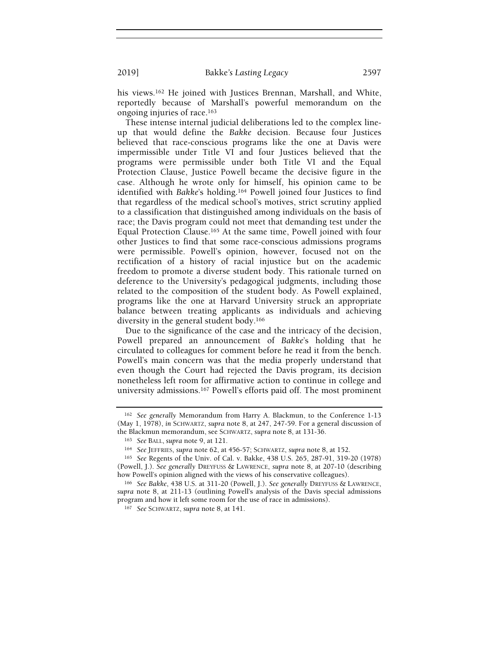his views.<sup>162</sup> He joined with Justices Brennan, Marshall, and White, reportedly because of Marshall's powerful memorandum on the ongoing injuries of race.<sup>163</sup>

These intense internal judicial deliberations led to the complex lineup that would define the Bakke decision. Because four Justices believed that race-conscious programs like the one at Davis were impermissible under Title VI and four Justices believed that the programs were permissible under both Title VI and the Equal Protection Clause, Justice Powell became the decisive figure in the case. Although he wrote only for himself, his opinion came to be identified with Bakke's holding.164 Powell joined four Justices to find that regardless of the medical school's motives, strict scrutiny applied to a classification that distinguished among individuals on the basis of race; the Davis program could not meet that demanding test under the Equal Protection Clause.165 At the same time, Powell joined with four other Justices to find that some race-conscious admissions programs were permissible. Powell's opinion, however, focused not on the rectification of a history of racial injustice but on the academic freedom to promote a diverse student body. This rationale turned on deference to the University's pedagogical judgments, including those related to the composition of the student body. As Powell explained, programs like the one at Harvard University struck an appropriate balance between treating applicants as individuals and achieving diversity in the general student body.<sup>166</sup>

Due to the significance of the case and the intricacy of the decision, Powell prepared an announcement of Bakke's holding that he circulated to colleagues for comment before he read it from the bench. Powell's main concern was that the media properly understand that even though the Court had rejected the Davis program, its decision nonetheless left room for affirmative action to continue in college and university admissions.167 Powell's efforts paid off. The most prominent

<sup>162</sup> See generally Memorandum from Harry A. Blackmun, to the Conference 1-13 (May 1, 1978), in SCHWARTZ, supra note 8, at 247, 247-59. For a general discussion of the Blackmun memorandum, see SCHWARTZ, supra note 8, at 131-36.

<sup>163</sup> See BALL, supra note 9, at 121.

<sup>164</sup> See JEFFRIES, supra note 62, at 456-57; SCHWARTZ, supra note 8, at 152.

<sup>165</sup> See Regents of the Univ. of Cal. v. Bakke, 438 U.S. 265, 287-91, 319-20 (1978) (Powell, J.). See generally DREYFUSS & LAWRENCE, supra note 8, at 207-10 (describing how Powell's opinion aligned with the views of his conservative colleagues).

<sup>166</sup> See Bakke, 438 U.S. at 311-20 (Powell, J.). See generally DREYFUSS & LAWRENCE, supra note 8, at 211-13 (outlining Powell's analysis of the Davis special admissions program and how it left some room for the use of race in admissions).

<sup>167</sup> See SCHWARTZ, supra note 8, at 141.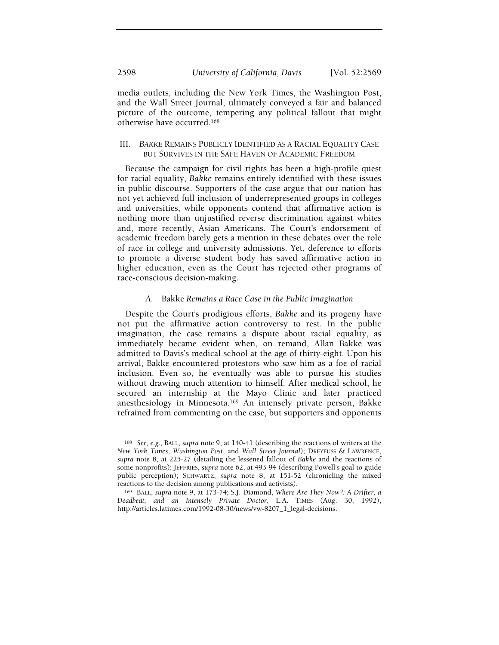media outlets, including the New York Times, the Washington Post, and the Wall Street Journal, ultimately conveyed a fair and balanced picture of the outcome, tempering any political fallout that might otherwise have occurred.<sup>168</sup>

## III. BAKKE REMAINS PUBLICLY IDENTIFIED AS A RACIAL EQUALITY CASE BUT SURVIVES IN THE SAFE HAVEN OF ACADEMIC FREEDOM

Because the campaign for civil rights has been a high-profile quest for racial equality, Bakke remains entirely identified with these issues in public discourse. Supporters of the case argue that our nation has not yet achieved full inclusion of underrepresented groups in colleges and universities, while opponents contend that affirmative action is nothing more than unjustified reverse discrimination against whites and, more recently, Asian Americans. The Court's endorsement of academic freedom barely gets a mention in these debates over the role of race in college and university admissions. Yet, deference to efforts to promote a diverse student body has saved affirmative action in higher education, even as the Court has rejected other programs of race-conscious decision-making.

## A. Bakke Remains a Race Case in the Public Imagination

Despite the Court's prodigious efforts, Bakke and its progeny have not put the affirmative action controversy to rest. In the public imagination, the case remains a dispute about racial equality, as immediately became evident when, on remand, Allan Bakke was admitted to Davis's medical school at the age of thirty-eight. Upon his arrival, Bakke encountered protestors who saw him as a foe of racial inclusion. Even so, he eventually was able to pursue his studies without drawing much attention to himself. After medical school, he secured an internship at the Mayo Clinic and later practiced anesthesiology in Minnesota.169 An intensely private person, Bakke refrained from commenting on the case, but supporters and opponents

<sup>168</sup> See, e.g., BALL, supra note 9, at 140-41 (describing the reactions of writers at the New York Times, Washington Post, and Wall Street Journal); DREYFUSS & LAWRENCE, supra note 8, at 225-27 (detailing the lessened fallout of Bakke and the reactions of some nonprofits); JEFFRIES, supra note 62, at 493-94 (describing Powell's goal to guide public perception); SCHWARTZ, supra note 8, at 151-52 (chronicling the mixed reactions to the decision among publications and activists).

<sup>169</sup> BALL, supra note 9, at 173-74; S.J. Diamond, Where Are They Now?: A Drifter, a Deadbeat, and an Intensely Private Doctor, L.A. TIMES (Aug. 30, 1992), http://articles.latimes.com/1992-08-30/news/vw-8207\_1\_legal-decisions.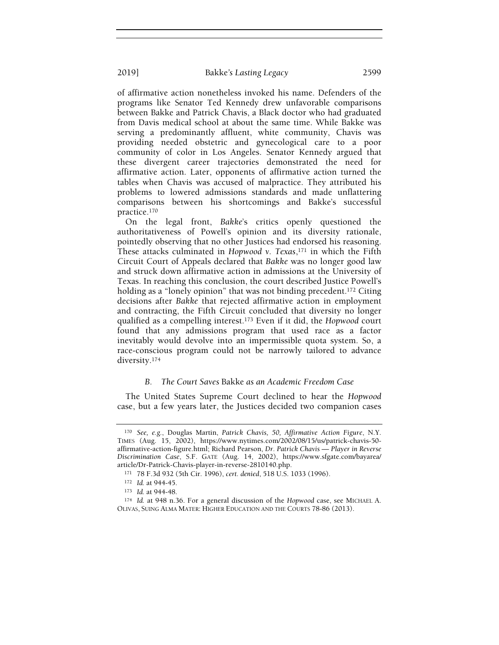of affirmative action nonetheless invoked his name. Defenders of the programs like Senator Ted Kennedy drew unfavorable comparisons between Bakke and Patrick Chavis, a Black doctor who had graduated from Davis medical school at about the same time. While Bakke was serving a predominantly affluent, white community, Chavis was providing needed obstetric and gynecological care to a poor community of color in Los Angeles. Senator Kennedy argued that these divergent career trajectories demonstrated the need for affirmative action. Later, opponents of affirmative action turned the tables when Chavis was accused of malpractice. They attributed his problems to lowered admissions standards and made unflattering comparisons between his shortcomings and Bakke's successful practice.<sup>170</sup>

On the legal front, Bakke's critics openly questioned the authoritativeness of Powell's opinion and its diversity rationale, pointedly observing that no other Justices had endorsed his reasoning. These attacks culminated in Hopwood v. Texas, $171$  in which the Fifth Circuit Court of Appeals declared that Bakke was no longer good law and struck down affirmative action in admissions at the University of Texas. In reaching this conclusion, the court described Justice Powell's holding as a "lonely opinion" that was not binding precedent.<sup>172</sup> Citing decisions after Bakke that rejected affirmative action in employment and contracting, the Fifth Circuit concluded that diversity no longer qualified as a compelling interest.173 Even if it did, the Hopwood court found that any admissions program that used race as a factor inevitably would devolve into an impermissible quota system. So, a race-conscious program could not be narrowly tailored to advance diversity.<sup>174</sup>

#### B. The Court Saves Bakke as an Academic Freedom Case

The United States Supreme Court declined to hear the Hopwood case, but a few years later, the Justices decided two companion cases

<sup>170</sup> See, e.g., Douglas Martin, Patrick Chavis, 50, Affirmative Action Figure, N.Y. TIMES (Aug. 15, 2002), https://www.nytimes.com/2002/08/15/us/patrick-chavis-50 affirmative-action-figure.html; Richard Pearson, Dr. Patrick Chavis — Player in Reverse Discrimination Case, S.F. GATE (Aug. 14, 2002), https://www.sfgate.com/bayarea/ article/Dr-Patrick-Chavis-player-in-reverse-2810140.php.

<sup>171</sup> 78 F.3d 932 (5th Cir. 1996), cert. denied, 518 U.S. 1033 (1996).

<sup>172</sup> *Id.* at 944-45.

<sup>173</sup> Id. at 944-48.

<sup>174</sup> Id. at 948 n.36. For a general discussion of the Hopwood case, see MICHAEL A. OLIVAS, SUING ALMA MATER: HIGHER EDUCATION AND THE COURTS 78-86 (2013).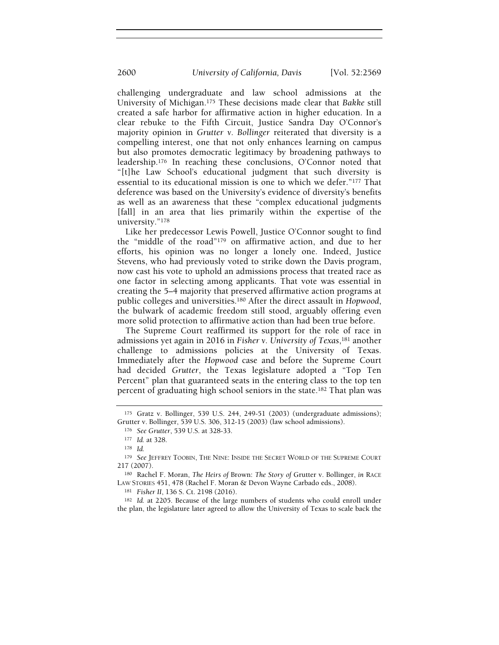challenging undergraduate and law school admissions at the University of Michigan.175 These decisions made clear that Bakke still created a safe harbor for affirmative action in higher education. In a clear rebuke to the Fifth Circuit, Justice Sandra Day O'Connor's majority opinion in Grutter v. Bollinger reiterated that diversity is a compelling interest, one that not only enhances learning on campus but also promotes democratic legitimacy by broadening pathways to leadership.176 In reaching these conclusions, O'Connor noted that "[t]he Law School's educational judgment that such diversity is essential to its educational mission is one to which we defer."177 That deference was based on the University's evidence of diversity's benefits as well as an awareness that these "complex educational judgments [fall] in an area that lies primarily within the expertise of the university."<sup>178</sup>

Like her predecessor Lewis Powell, Justice O'Connor sought to find the "middle of the road"179 on affirmative action, and due to her efforts, his opinion was no longer a lonely one. Indeed, Justice Stevens, who had previously voted to strike down the Davis program, now cast his vote to uphold an admissions process that treated race as one factor in selecting among applicants. That vote was essential in creating the 5–4 majority that preserved affirmative action programs at public colleges and universities.180 After the direct assault in Hopwood, the bulwark of academic freedom still stood, arguably offering even more solid protection to affirmative action than had been true before.

The Supreme Court reaffirmed its support for the role of race in admissions yet again in 2016 in Fisher v. University of Texas,<sup>181</sup> another challenge to admissions policies at the University of Texas. Immediately after the Hopwood case and before the Supreme Court had decided Grutter, the Texas legislature adopted a "Top Ten Percent" plan that guaranteed seats in the entering class to the top ten percent of graduating high school seniors in the state.182 That plan was

<sup>182</sup> Id. at 2205. Because of the large numbers of students who could enroll under the plan, the legislature later agreed to allow the University of Texas to scale back the

<sup>175</sup> Gratz v. Bollinger, 539 U.S. 244, 249-51 (2003) (undergraduate admissions); Grutter v. Bollinger, 539 U.S. 306, 312-15 (2003) (law school admissions).

<sup>176</sup> See Grutter, 539 U.S. at 328-33.

<sup>177</sup> Id. at 328.

<sup>178</sup> Id.

<sup>179</sup> See JEFFREY TOOBIN, THE NINE: INSIDE THE SECRET WORLD OF THE SUPREME COURT 217 (2007).

<sup>180</sup> Rachel F. Moran, The Heirs of Brown: The Story of Grutter v. Bollinger, in RACE LAW STORIES 451, 478 (Rachel F. Moran & Devon Wayne Carbado eds., 2008).

<sup>181</sup> Fisher II, 136 S. Ct. 2198 (2016).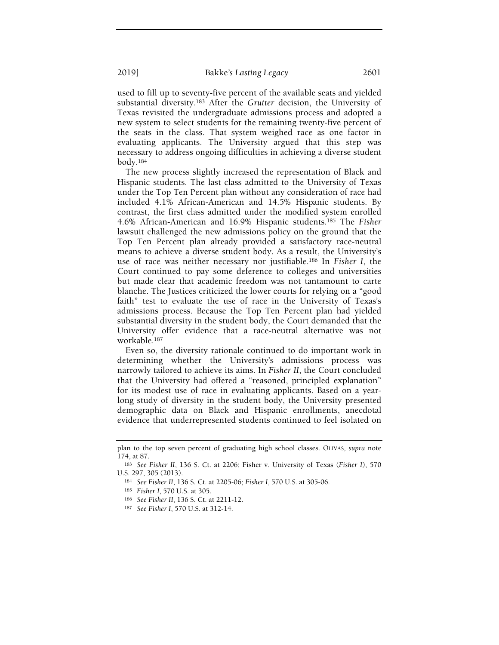used to fill up to seventy-five percent of the available seats and yielded substantial diversity.183 After the Grutter decision, the University of Texas revisited the undergraduate admissions process and adopted a new system to select students for the remaining twenty-five percent of the seats in the class. That system weighed race as one factor in evaluating applicants. The University argued that this step was necessary to address ongoing difficulties in achieving a diverse student body.<sup>184</sup>

The new process slightly increased the representation of Black and Hispanic students. The last class admitted to the University of Texas under the Top Ten Percent plan without any consideration of race had included 4.1% African-American and 14.5% Hispanic students. By contrast, the first class admitted under the modified system enrolled 4.6% African-American and 16.9% Hispanic students.185 The Fisher lawsuit challenged the new admissions policy on the ground that the Top Ten Percent plan already provided a satisfactory race-neutral means to achieve a diverse student body. As a result, the University's use of race was neither necessary nor justifiable.186 In Fisher I, the Court continued to pay some deference to colleges and universities but made clear that academic freedom was not tantamount to carte blanche. The Justices criticized the lower courts for relying on a "good faith" test to evaluate the use of race in the University of Texas's admissions process. Because the Top Ten Percent plan had yielded substantial diversity in the student body, the Court demanded that the University offer evidence that a race-neutral alternative was not workable.<sup>187</sup>

Even so, the diversity rationale continued to do important work in determining whether the University's admissions process was narrowly tailored to achieve its aims. In Fisher II, the Court concluded that the University had offered a "reasoned, principled explanation" for its modest use of race in evaluating applicants. Based on a yearlong study of diversity in the student body, the University presented demographic data on Black and Hispanic enrollments, anecdotal evidence that underrepresented students continued to feel isolated on

plan to the top seven percent of graduating high school classes. OLIVAS, supra note 174, at 87.

<sup>183</sup> See Fisher II, 136 S. Ct. at 2206; Fisher v. University of Texas (Fisher I), 570 U.S. 297, 305 (2013).

<sup>184</sup> See Fisher II, 136 S. Ct. at 2205-06; Fisher I, 570 U.S. at 305-06.

<sup>185</sup> Fisher I, 570 U.S. at 305.

<sup>186</sup> See Fisher II, 136 S. Ct. at 2211-12.

<sup>187</sup> See Fisher I, 570 U.S. at 312-14.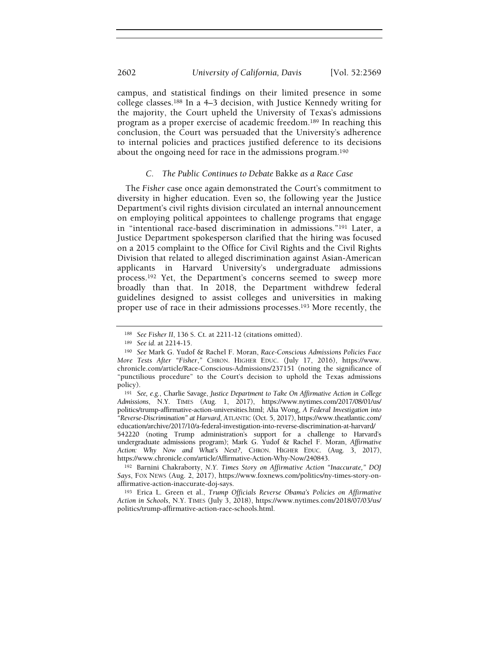campus, and statistical findings on their limited presence in some college classes.188 In a 4–3 decision, with Justice Kennedy writing for the majority, the Court upheld the University of Texas's admissions program as a proper exercise of academic freedom.189 In reaching this conclusion, the Court was persuaded that the University's adherence to internal policies and practices justified deference to its decisions about the ongoing need for race in the admissions program.<sup>190</sup>

#### C. The Public Continues to Debate Bakke as a Race Case

The Fisher case once again demonstrated the Court's commitment to diversity in higher education. Even so, the following year the Justice Department's civil rights division circulated an internal announcement on employing political appointees to challenge programs that engage in "intentional race-based discrimination in admissions."191 Later, a Justice Department spokesperson clarified that the hiring was focused on a 2015 complaint to the Office for Civil Rights and the Civil Rights Division that related to alleged discrimination against Asian-American applicants in Harvard University's undergraduate admissions process.192 Yet, the Department's concerns seemed to sweep more broadly than that. In 2018, the Department withdrew federal guidelines designed to assist colleges and universities in making proper use of race in their admissions processes.193 More recently, the

542220 (noting Trump administration's support for a challenge to Harvard's undergraduate admissions program); Mark G. Yudof & Rachel F. Moran, Affirmative Action: Why Now and What's Next?, CHRON. HIGHER EDUC. (Aug. 3, 2017), https://www.chronicle.com/article/Affirmative-Action-Why-Now/240843.

<sup>188</sup> See Fisher II, 136 S. Ct. at 2211-12 (citations omitted).

<sup>189</sup> See id. at 2214-15.

<sup>190</sup> See Mark G. Yudof & Rachel F. Moran, Race-Conscious Admissions Policies Face More Tests After "Fisher," CHRON. HIGHER EDUC. (July 17, 2016), https://www. chronicle.com/article/Race-Conscious-Admissions/237151 (noting the significance of "punctilious procedure" to the Court's decision to uphold the Texas admissions policy).

<sup>191</sup> See, e.g., Charlie Savage, Justice Department to Take On Affirmative Action in College Admissions, N.Y. TIMES (Aug. 1, 2017), https://www.nytimes.com/2017/08/01/us/ politics/trump-affirmative-action-universities.html; Alia Wong, A Federal Investigation into "Reverse-Discrimination" at Harvard, ATLANTIC (Oct. 5, 2017), https://www.theatlantic.com/ education/archive/2017/10/a-federal-investigation-into-reverse-discrimination-at-harvard/

<sup>192</sup> Barnini Chakraborty, N.Y. Times Story on Affirmative Action "Inaccurate," DOJ Says, FOX NEWS (Aug. 2, 2017), https://www.foxnews.com/politics/ny-times-story-onaffirmative-action-inaccurate-doj-says.

<sup>193</sup> Erica L. Green et al., Trump Officials Reverse Obama's Policies on Affirmative Action in Schools, N.Y. TIMES (July 3, 2018), https://www.nytimes.com/2018/07/03/us/ politics/trump-affirmative-action-race-schools.html.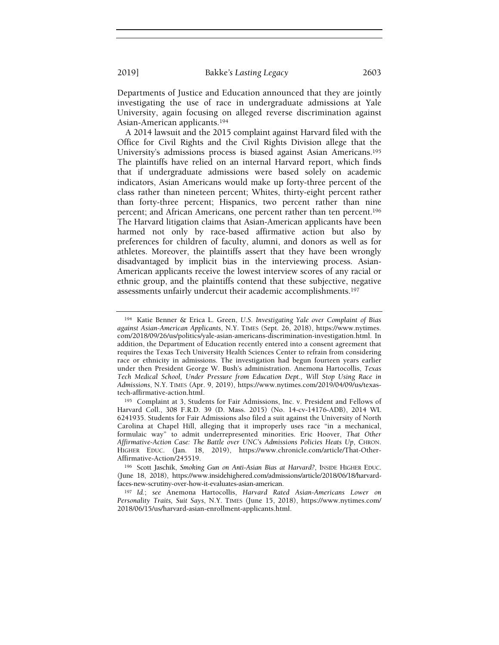Departments of Justice and Education announced that they are jointly investigating the use of race in undergraduate admissions at Yale University, again focusing on alleged reverse discrimination against Asian-American applicants.<sup>194</sup>

A 2014 lawsuit and the 2015 complaint against Harvard filed with the Office for Civil Rights and the Civil Rights Division allege that the University's admissions process is biased against Asian Americans.<sup>195</sup> The plaintiffs have relied on an internal Harvard report, which finds that if undergraduate admissions were based solely on academic indicators, Asian Americans would make up forty-three percent of the class rather than nineteen percent; Whites, thirty-eight percent rather than forty-three percent; Hispanics, two percent rather than nine percent; and African Americans, one percent rather than ten percent.<sup>196</sup> The Harvard litigation claims that Asian-American applicants have been harmed not only by race-based affirmative action but also by preferences for children of faculty, alumni, and donors as well as for athletes. Moreover, the plaintiffs assert that they have been wrongly disadvantaged by implicit bias in the interviewing process. Asian-American applicants receive the lowest interview scores of any racial or ethnic group, and the plaintiffs contend that these subjective, negative assessments unfairly undercut their academic accomplishments.<sup>197</sup>

<sup>194</sup> Katie Benner & Erica L. Green, U.S. Investigating Yale over Complaint of Bias against Asian-American Applicants, N.Y. TIMES (Sept. 26, 2018), https://www.nytimes. com/2018/09/26/us/politics/yale-asian-americans-discrimination-investigation.html. In addition, the Department of Education recently entered into a consent agreement that requires the Texas Tech University Health Sciences Center to refrain from considering race or ethnicity in admissions. The investigation had begun fourteen years earlier under then President George W. Bush's administration. Anemona Hartocollis, Texas Tech Medical School, Under Pressure from Education Dept., Will Stop Using Race in Admissions, N.Y. TIMES (Apr. 9, 2019), https://www.nytimes.com/2019/04/09/us/texastech-affirmative-action.html.

<sup>195</sup> Complaint at 3, Students for Fair Admissions, Inc. v. President and Fellows of Harvard Coll., 308 F.R.D. 39 (D. Mass. 2015) (No. 14-cv-14176-ADB), 2014 WL 6241935. Students for Fair Admissions also filed a suit against the University of North Carolina at Chapel Hill, alleging that it improperly uses race "in a mechanical, formulaic way" to admit underrepresented minorities. Eric Hoover, That Other Affirmative-Action Case: The Battle over UNC's Admissions Policies Heats Up, CHRON. HIGHER EDUC. (Jan. 18, 2019), https://www.chronicle.com/article/That-Other-Affirmative-Action/245519.

<sup>196</sup> Scott Jaschik, Smoking Gun on Anti-Asian Bias at Harvard?, INSIDE HIGHER EDUC. (June 18, 2018), https://www.insidehighered.com/admissions/article/2018/06/18/harvardfaces-new-scrutiny-over-how-it-evaluates-asian-american.

<sup>197</sup> Id.; see Anemona Hartocollis, Harvard Rated Asian-Americans Lower on Personality Traits, Suit Says, N.Y. TIMES (June 15, 2018), https://www.nytimes.com/ 2018/06/15/us/harvard-asian-enrollment-applicants.html.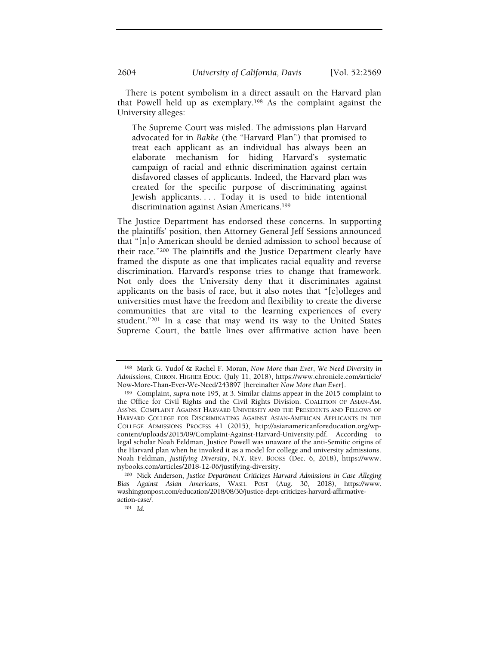There is potent symbolism in a direct assault on the Harvard plan that Powell held up as exemplary.198 As the complaint against the University alleges:

The Supreme Court was misled. The admissions plan Harvard advocated for in Bakke (the "Harvard Plan") that promised to treat each applicant as an individual has always been an elaborate mechanism for hiding Harvard's systematic campaign of racial and ethnic discrimination against certain disfavored classes of applicants. Indeed, the Harvard plan was created for the specific purpose of discriminating against Jewish applicants.... Today it is used to hide intentional discrimination against Asian Americans.<sup>199</sup>

The Justice Department has endorsed these concerns. In supporting the plaintiffs' position, then Attorney General Jeff Sessions announced that "[n]o American should be denied admission to school because of their race."200 The plaintiffs and the Justice Department clearly have framed the dispute as one that implicates racial equality and reverse discrimination. Harvard's response tries to change that framework. Not only does the University deny that it discriminates against applicants on the basis of race, but it also notes that "[c]olleges and universities must have the freedom and flexibility to create the diverse communities that are vital to the learning experiences of every student."201 In a case that may wend its way to the United States Supreme Court, the battle lines over affirmative action have been

<sup>198</sup> Mark G. Yudof & Rachel F. Moran, Now More than Ever, We Need Diversity in Admissions, CHRON. HIGHER EDUC. (July 11, 2018), https://www.chronicle.com/article/ Now-More-Than-Ever-We-Need/243897 [hereinafter Now More than Ever].

<sup>199</sup> Complaint, supra note 195, at 3. Similar claims appear in the 2015 complaint to the Office for Civil Rights and the Civil Rights Division. COALITION OF ASIAN-AM. ASS'NS, COMPLAINT AGAINST HARVARD UNIVERSITY AND THE PRESIDENTS AND FELLOWS OF HARVARD COLLEGE FOR DISCRIMINATING AGAINST ASIAN-AMERICAN APPLICANTS IN THE COLLEGE ADMISSIONS PROCESS 41 (2015), http://asianamericanforeducation.org/wpcontent/uploads/2015/09/Complaint-Against-Harvard-University.pdf. According to legal scholar Noah Feldman, Justice Powell was unaware of the anti-Semitic origins of the Harvard plan when he invoked it as a model for college and university admissions. Noah Feldman, Justifying Diversity, N.Y. REV. BOOKS (Dec. 6, 2018), https://www. nybooks.com/articles/2018-12-06/justifying-diversity.

<sup>200</sup> Nick Anderson, Justice Department Criticizes Harvard Admissions in Case Alleging Bias Against Asian Americans, WASH. POST (Aug. 30, 2018), https://www. washingtonpost.com/education/2018/08/30/justice-dept-criticizes-harvard-affirmativeaction-case/.

<sup>201</sup> Id.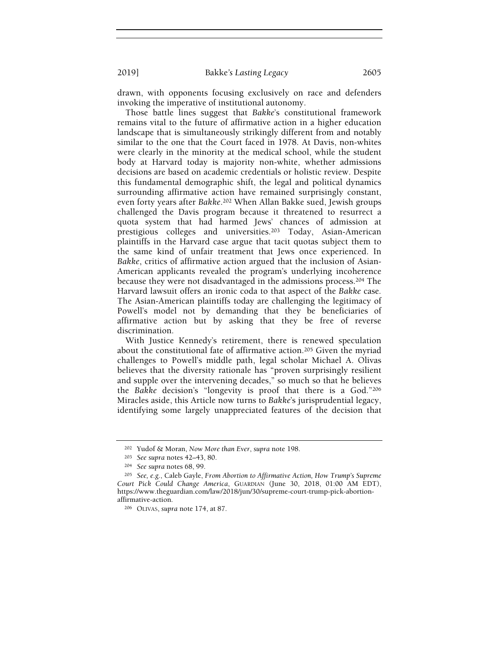drawn, with opponents focusing exclusively on race and defenders invoking the imperative of institutional autonomy.

Those battle lines suggest that Bakke's constitutional framework remains vital to the future of affirmative action in a higher education landscape that is simultaneously strikingly different from and notably similar to the one that the Court faced in 1978. At Davis, non-whites were clearly in the minority at the medical school, while the student body at Harvard today is majority non-white, whether admissions decisions are based on academic credentials or holistic review. Despite this fundamental demographic shift, the legal and political dynamics surrounding affirmative action have remained surprisingly constant, even forty years after Bakke.202 When Allan Bakke sued, Jewish groups challenged the Davis program because it threatened to resurrect a quota system that had harmed Jews' chances of admission at prestigious colleges and universities.203 Today, Asian-American plaintiffs in the Harvard case argue that tacit quotas subject them to the same kind of unfair treatment that Jews once experienced. In Bakke, critics of affirmative action argued that the inclusion of Asian-American applicants revealed the program's underlying incoherence because they were not disadvantaged in the admissions process.204 The Harvard lawsuit offers an ironic coda to that aspect of the Bakke case. The Asian-American plaintiffs today are challenging the legitimacy of Powell's model not by demanding that they be beneficiaries of affirmative action but by asking that they be free of reverse discrimination.

With Justice Kennedy's retirement, there is renewed speculation about the constitutional fate of affirmative action.205 Given the myriad challenges to Powell's middle path, legal scholar Michael A. Olivas believes that the diversity rationale has "proven surprisingly resilient and supple over the intervening decades," so much so that he believes the Bakke decision's "longevity is proof that there is a God."<sup>206</sup> Miracles aside, this Article now turns to Bakke's jurisprudential legacy, identifying some largely unappreciated features of the decision that

<sup>202</sup> Yudof & Moran, Now More than Ever, supra note 198.

<sup>203</sup> See supra notes 42–43, 80.

<sup>204</sup> See supra notes 68, 99.

<sup>205</sup> See, e.g., Caleb Gayle, From Abortion to Affirmative Action, How Trump's Supreme Court Pick Could Change America, GUARDIAN (June 30, 2018, 01:00 AM EDT), https://www.theguardian.com/law/2018/jun/30/supreme-court-trump-pick-abortionaffirmative-action.

<sup>206</sup> OLIVAS, supra note 174, at 87.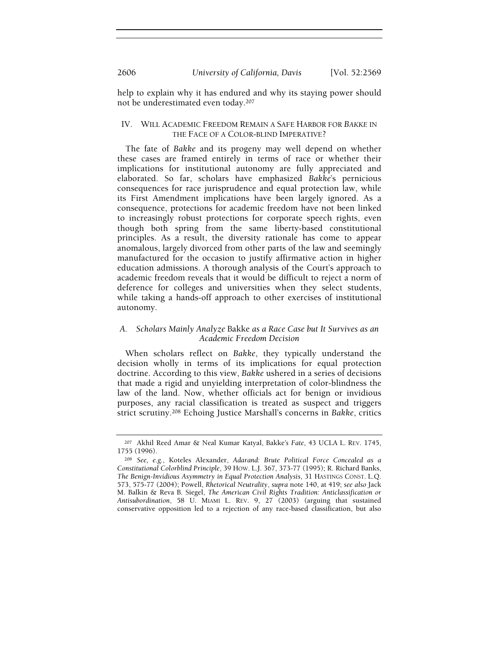help to explain why it has endured and why its staying power should not be underestimated even today.<sup>207</sup>

## IV. WILL ACADEMIC FREEDOM REMAIN A SAFE HARBOR FOR BAKKE IN THE FACE OF A COLOR-BLIND IMPERATIVE?

The fate of Bakke and its progeny may well depend on whether these cases are framed entirely in terms of race or whether their implications for institutional autonomy are fully appreciated and elaborated. So far, scholars have emphasized Bakke's pernicious consequences for race jurisprudence and equal protection law, while its First Amendment implications have been largely ignored. As a consequence, protections for academic freedom have not been linked to increasingly robust protections for corporate speech rights, even though both spring from the same liberty-based constitutional principles. As a result, the diversity rationale has come to appear anomalous, largely divorced from other parts of the law and seemingly manufactured for the occasion to justify affirmative action in higher education admissions. A thorough analysis of the Court's approach to academic freedom reveals that it would be difficult to reject a norm of deference for colleges and universities when they select students, while taking a hands-off approach to other exercises of institutional autonomy.

# A. Scholars Mainly Analyze Bakke as a Race Case but It Survives as an Academic Freedom Decision

When scholars reflect on Bakke, they typically understand the decision wholly in terms of its implications for equal protection doctrine. According to this view, Bakke ushered in a series of decisions that made a rigid and unyielding interpretation of color-blindness the law of the land. Now, whether officials act for benign or invidious purposes, any racial classification is treated as suspect and triggers strict scrutiny.208 Echoing Justice Marshall's concerns in Bakke, critics

<sup>207</sup> Akhil Reed Amar & Neal Kumar Katyal, Bakke's Fate, 43 UCLA L. REV. 1745, 1755 (1996).

<sup>208</sup> See, e.g., Koteles Alexander, Adarand: Brute Political Force Concealed as a Constitutional Colorblind Principle, 39 HOW. L.J. 367, 373-77 (1995); R. Richard Banks, The Benign-Invidious Asymmetry in Equal Protection Analysis, 31 HASTINGS CONST. L.Q. 573, 575-77 (2004); Powell, Rhetorical Neutrality, supra note 140, at 419; see also Jack M. Balkin & Reva B. Siegel, The American Civil Rights Tradition: Anticlassification or Antisubordination, 58 U. MIAMI L. REV. 9, 27 (2003) (arguing that sustained conservative opposition led to a rejection of any race-based classification, but also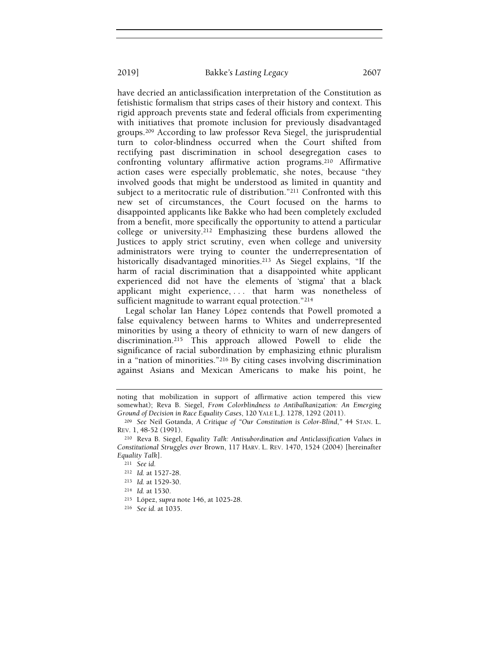have decried an anticlassification interpretation of the Constitution as fetishistic formalism that strips cases of their history and context. This rigid approach prevents state and federal officials from experimenting with initiatives that promote inclusion for previously disadvantaged groups.209 According to law professor Reva Siegel, the jurisprudential turn to color-blindness occurred when the Court shifted from rectifying past discrimination in school desegregation cases to confronting voluntary affirmative action programs.210 Affirmative action cases were especially problematic, she notes, because "they involved goods that might be understood as limited in quantity and subject to a meritocratic rule of distribution."211 Confronted with this

new set of circumstances, the Court focused on the harms to disappointed applicants like Bakke who had been completely excluded from a benefit, more specifically the opportunity to attend a particular college or university.212 Emphasizing these burdens allowed the Justices to apply strict scrutiny, even when college and university administrators were trying to counter the underrepresentation of historically disadvantaged minorities.<sup>213</sup> As Siegel explains, "If the harm of racial discrimination that a disappointed white applicant experienced did not have the elements of 'stigma' that a black applicant might experience, . . . that harm was nonetheless of sufficient magnitude to warrant equal protection."214

Legal scholar Ian Haney López contends that Powell promoted a false equivalency between harms to Whites and underrepresented minorities by using a theory of ethnicity to warn of new dangers of discrimination.215 This approach allowed Powell to elide the significance of racial subordination by emphasizing ethnic pluralism in a "nation of minorities."216 By citing cases involving discrimination against Asians and Mexican Americans to make his point, he

- <sup>215</sup> López, supra note 146, at 1025-28.
- <sup>216</sup> See id. at 1035.

noting that mobilization in support of affirmative action tempered this view somewhat); Reva B. Siegel, From Colorblindness to Antibalkanization: An Emerging Ground of Decision in Race Equality Cases, 120 YALE L.J. 1278, 1292 (2011).

<sup>209</sup> See Neil Gotanda, A Critique of "Our Constitution is Color-Blind," 44 STAN. L. REV. 1, 48-52 (1991).

<sup>210</sup> Reva B. Siegel, Equality Talk: Antisubordination and Anticlassification Values in Constitutional Struggles over Brown, 117 HARV. L. REV. 1470, 1524 (2004) [hereinafter Equality Talk].

<sup>211</sup> See id.

<sup>212</sup> Id. at 1527-28.

<sup>213</sup> Id. at 1529-30.

<sup>214</sup> Id. at 1530.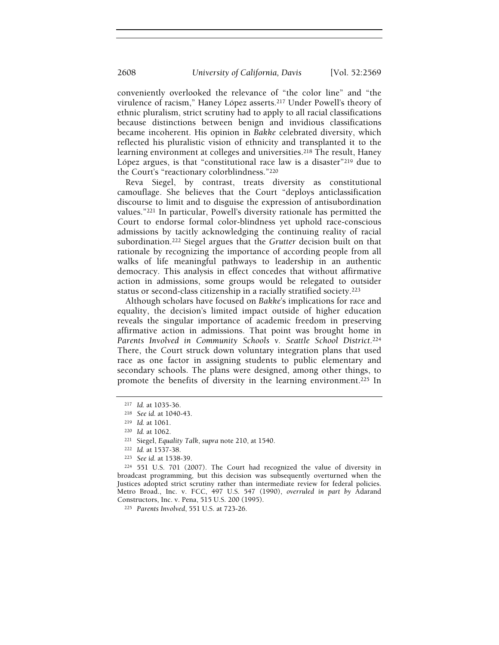conveniently overlooked the relevance of "the color line" and "the virulence of racism," Haney López asserts.217 Under Powell's theory of ethnic pluralism, strict scrutiny had to apply to all racial classifications because distinctions between benign and invidious classifications became incoherent. His opinion in Bakke celebrated diversity, which reflected his pluralistic vision of ethnicity and transplanted it to the learning environment at colleges and universities.<sup>218</sup> The result, Haney López argues, is that "constitutional race law is a disaster"219 due to the Court's "reactionary colorblindness."<sup>220</sup>

Reva Siegel, by contrast, treats diversity as constitutional camouflage. She believes that the Court "deploys anticlassification discourse to limit and to disguise the expression of antisubordination values."221 In particular, Powell's diversity rationale has permitted the Court to endorse formal color-blindness yet uphold race-conscious admissions by tacitly acknowledging the continuing reality of racial subordination.<sup>222</sup> Siegel argues that the Grutter decision built on that rationale by recognizing the importance of according people from all walks of life meaningful pathways to leadership in an authentic democracy. This analysis in effect concedes that without affirmative action in admissions, some groups would be relegated to outsider status or second-class citizenship in a racially stratified society.<sup>223</sup>

Although scholars have focused on Bakke's implications for race and equality, the decision's limited impact outside of higher education reveals the singular importance of academic freedom in preserving affirmative action in admissions. That point was brought home in Parents Involved in Community Schools v. Seattle School District.<sup>224</sup> There, the Court struck down voluntary integration plans that used race as one factor in assigning students to public elementary and secondary schools. The plans were designed, among other things, to promote the benefits of diversity in the learning environment.225 In

<sup>217</sup> Id. at 1035-36.

<sup>218</sup> See id. at 1040-43.

<sup>219</sup> Id. at 1061.

<sup>220</sup> Id. at 1062.

<sup>221</sup> Siegel, Equality Talk, supra note 210, at 1540.

<sup>222</sup> Id. at 1537-38.

<sup>223</sup> See id. at 1538-39.

<sup>224</sup> 551 U.S. 701 (2007). The Court had recognized the value of diversity in broadcast programming, but this decision was subsequently overturned when the Justices adopted strict scrutiny rather than intermediate review for federal policies. Metro Broad., Inc. v. FCC, 497 U.S. 547 (1990), overruled in part by Adarand Constructors, Inc. v. Pena, 515 U.S. 200 (1995).

<sup>225</sup> Parents Involved, 551 U.S. at 723-26.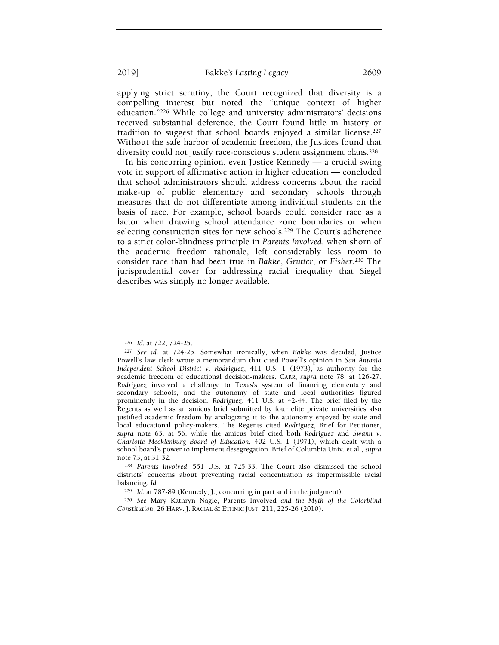applying strict scrutiny, the Court recognized that diversity is a compelling interest but noted the "unique context of higher education."226 While college and university administrators' decisions received substantial deference, the Court found little in history or tradition to suggest that school boards enjoyed a similar license.<sup>227</sup> Without the safe harbor of academic freedom, the Justices found that diversity could not justify race-conscious student assignment plans.<sup>228</sup>

In his concurring opinion, even Justice Kennedy — a crucial swing vote in support of affirmative action in higher education — concluded that school administrators should address concerns about the racial make-up of public elementary and secondary schools through measures that do not differentiate among individual students on the basis of race. For example, school boards could consider race as a factor when drawing school attendance zone boundaries or when selecting construction sites for new schools.229 The Court's adherence to a strict color-blindness principle in Parents Involved, when shorn of the academic freedom rationale, left considerably less room to consider race than had been true in Bakke, Grutter, or Fisher.230 The jurisprudential cover for addressing racial inequality that Siegel describes was simply no longer available.

<sup>226</sup> Id. at 722, 724-25.

<sup>227</sup> See id. at 724-25. Somewhat ironically, when Bakke was decided, Justice Powell's law clerk wrote a memorandum that cited Powell's opinion in San Antonio Independent School District v. Rodriguez, 411 U.S. 1 (1973), as authority for the academic freedom of educational decision-makers. CARR, supra note 78, at 126-27. Rodriguez involved a challenge to Texas's system of financing elementary and secondary schools, and the autonomy of state and local authorities figured prominently in the decision. Rodriguez, 411 U.S. at 42-44. The brief filed by the Regents as well as an amicus brief submitted by four elite private universities also justified academic freedom by analogizing it to the autonomy enjoyed by state and local educational policy-makers. The Regents cited Rodriguez, Brief for Petitioner, supra note 63, at 56, while the amicus brief cited both Rodriguez and Swann v. Charlotte Mecklenburg Board of Education, 402 U.S. 1 (1971), which dealt with a school board's power to implement desegregation. Brief of Columbia Univ. et al., supra note 73, at 31-32.

<sup>228</sup> Parents Involved, 551 U.S. at 725-33. The Court also dismissed the school districts' concerns about preventing racial concentration as impermissible racial balancing. Id.

<sup>229</sup> Id. at 787-89 (Kennedy, J., concurring in part and in the judgment).

<sup>230</sup> See Mary Kathryn Nagle, Parents Involved and the Myth of the Colorblind Constitution, 26 HARV. J. RACIAL & ETHNIC JUST. 211, 225-26 (2010).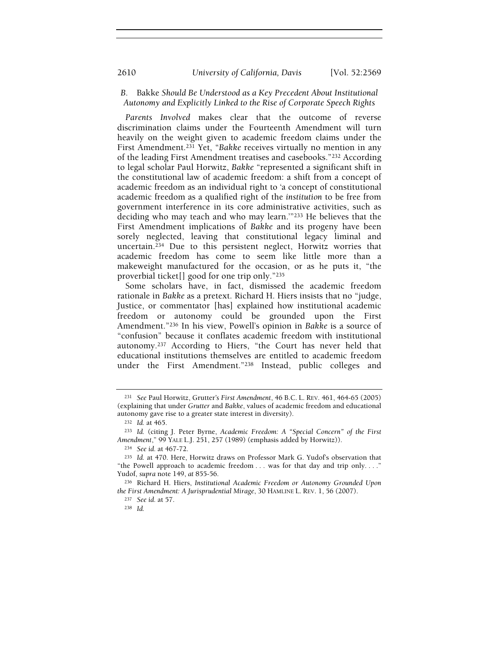## B. Bakke Should Be Understood as a Key Precedent About Institutional Autonomy and Explicitly Linked to the Rise of Corporate Speech Rights

Parents Involved makes clear that the outcome of reverse discrimination claims under the Fourteenth Amendment will turn heavily on the weight given to academic freedom claims under the First Amendment.231 Yet, "Bakke receives virtually no mention in any of the leading First Amendment treatises and casebooks."232 According to legal scholar Paul Horwitz, Bakke "represented a significant shift in the constitutional law of academic freedom: a shift from a concept of academic freedom as an individual right to 'a concept of constitutional academic freedom as a qualified right of the institution to be free from government interference in its core administrative activities, such as deciding who may teach and who may learn.'"233 He believes that the First Amendment implications of Bakke and its progeny have been sorely neglected, leaving that constitutional legacy liminal and uncertain.234 Due to this persistent neglect, Horwitz worries that academic freedom has come to seem like little more than a makeweight manufactured for the occasion, or as he puts it, "the proverbial ticket[] good for one trip only."<sup>235</sup>

Some scholars have, in fact, dismissed the academic freedom rationale in Bakke as a pretext. Richard H. Hiers insists that no "judge, Justice, or commentator [has] explained how institutional academic freedom or autonomy could be grounded upon the First Amendment."236 In his view, Powell's opinion in Bakke is a source of "confusion" because it conflates academic freedom with institutional autonomy.237 According to Hiers, "the Court has never held that educational institutions themselves are entitled to academic freedom under the First Amendment."238 Instead, public colleges and

<sup>231</sup> See Paul Horwitz, Grutter's First Amendment, 46 B.C. L. REV. 461, 464-65 (2005) (explaining that under Grutter and Bakke, values of academic freedom and educational autonomy gave rise to a greater state interest in diversity).

<sup>232</sup> Id. at 465.

<sup>233</sup> Id. (citing J. Peter Byrne, Academic Freedom: A "Special Concern" of the First Amendment," 99 YALE L.J. 251, 257 (1989) (emphasis added by Horwitz)).

<sup>234</sup> See id. at 467-72.

<sup>235</sup> Id. at 470. Here, Horwitz draws on Professor Mark G. Yudof's observation that "the Powell approach to academic freedom . . . was for that day and trip only. . . ." Yudof, supra note 149, at 855-56.

<sup>236</sup> Richard H. Hiers, Institutional Academic Freedom or Autonomy Grounded Upon the First Amendment: A Jurisprudential Mirage, 30 HAMLINE L. REV. 1, 56 (2007).

<sup>237</sup> See id. at 57.

<sup>238</sup> Id.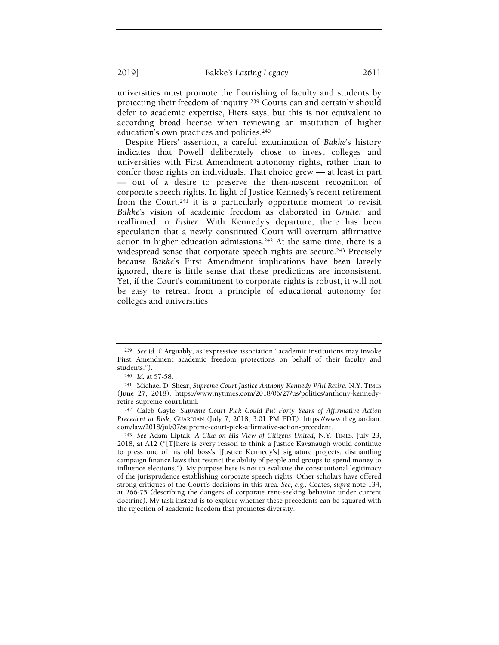universities must promote the flourishing of faculty and students by protecting their freedom of inquiry.239 Courts can and certainly should defer to academic expertise, Hiers says, but this is not equivalent to according broad license when reviewing an institution of higher education's own practices and policies.<sup>240</sup>

Despite Hiers' assertion, a careful examination of Bakke's history indicates that Powell deliberately chose to invest colleges and universities with First Amendment autonomy rights, rather than to confer those rights on individuals. That choice grew — at least in part — out of a desire to preserve the then-nascent recognition of corporate speech rights. In light of Justice Kennedy's recent retirement from the Court,<sup>241</sup> it is a particularly opportune moment to revisit Bakke's vision of academic freedom as elaborated in Grutter and reaffirmed in Fisher. With Kennedy's departure, there has been speculation that a newly constituted Court will overturn affirmative action in higher education admissions.242 At the same time, there is a widespread sense that corporate speech rights are secure.<sup>243</sup> Precisely because Bakke's First Amendment implications have been largely ignored, there is little sense that these predictions are inconsistent. Yet, if the Court's commitment to corporate rights is robust, it will not be easy to retreat from a principle of educational autonomy for colleges and universities.

<sup>239</sup> See id. ("Arguably, as 'expressive association,' academic institutions may invoke First Amendment academic freedom protections on behalf of their faculty and students.").

<sup>240</sup> Id. at 57-58.

<sup>241</sup> Michael D. Shear, Supreme Court Justice Anthony Kennedy Will Retire, N.Y. TIMES (June 27, 2018), https://www.nytimes.com/2018/06/27/us/politics/anthony-kennedyretire-supreme-court.html.

<sup>242</sup> Caleb Gayle, Supreme Court Pick Could Put Forty Years of Affirmative Action Precedent at Risk, GUARDIAN (July 7, 2018, 3:01 PM EDT), https://www.theguardian. com/law/2018/jul/07/supreme-court-pick-affirmative-action-precedent.

<sup>243</sup> See Adam Liptak, A Clue on His View of Citizens United, N.Y. TIMES, July 23, 2018, at A12 ("[T]here is every reason to think a Justice Kavanaugh would continue to press one of his old boss's [Justice Kennedy's] signature projects: dismantling campaign finance laws that restrict the ability of people and groups to spend money to influence elections."). My purpose here is not to evaluate the constitutional legitimacy of the jurisprudence establishing corporate speech rights. Other scholars have offered strong critiques of the Court's decisions in this area. See, e.g., Coates, supra note 134, at 266-75 (describing the dangers of corporate rent-seeking behavior under current doctrine). My task instead is to explore whether these precedents can be squared with the rejection of academic freedom that promotes diversity.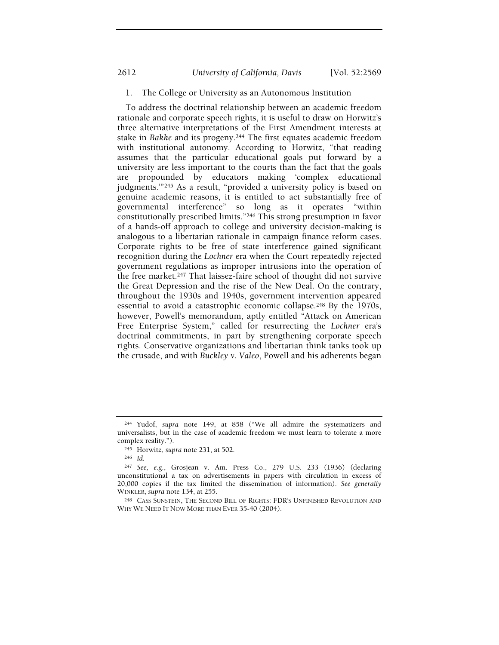# 2612 University of California, Davis [Vol. 52:2569

# 1. The College or University as an Autonomous Institution

To address the doctrinal relationship between an academic freedom rationale and corporate speech rights, it is useful to draw on Horwitz's three alternative interpretations of the First Amendment interests at stake in Bakke and its progeny.244 The first equates academic freedom with institutional autonomy. According to Horwitz, "that reading assumes that the particular educational goals put forward by a university are less important to the courts than the fact that the goals are propounded by educators making 'complex educational judgments.'"245 As a result, "provided a university policy is based on genuine academic reasons, it is entitled to act substantially free of governmental interference" so long as it operates "within constitutionally prescribed limits."246 This strong presumption in favor of a hands-off approach to college and university decision-making is analogous to a libertarian rationale in campaign finance reform cases. Corporate rights to be free of state interference gained significant recognition during the Lochner era when the Court repeatedly rejected government regulations as improper intrusions into the operation of the free market.247 That laissez-faire school of thought did not survive the Great Depression and the rise of the New Deal. On the contrary, throughout the 1930s and 1940s, government intervention appeared essential to avoid a catastrophic economic collapse.248 By the 1970s, however, Powell's memorandum, aptly entitled "Attack on American Free Enterprise System," called for resurrecting the Lochner era's doctrinal commitments, in part by strengthening corporate speech rights. Conservative organizations and libertarian think tanks took up the crusade, and with Buckley v. Valeo, Powell and his adherents began

<sup>244</sup> Yudof, supra note 149, at 858 ("We all admire the systematizers and universalists, but in the case of academic freedom we must learn to tolerate a more complex reality.").

<sup>245</sup> Horwitz, supra note 231, at 502.

<sup>246</sup> Id.

<sup>247</sup> See, e.g., Grosjean v. Am. Press Co., 279 U.S. 233 (1936) (declaring unconstitutional a tax on advertisements in papers with circulation in excess of 20,000 copies if the tax limited the dissemination of information). See generally WINKLER, supra note 134, at 255.

<sup>248</sup> CASS SUNSTEIN, THE SECOND BILL OF RIGHTS: FDR'S UNFINISHED REVOLUTION AND WHY WE NEED IT NOW MORE THAN EVER 35-40 (2004).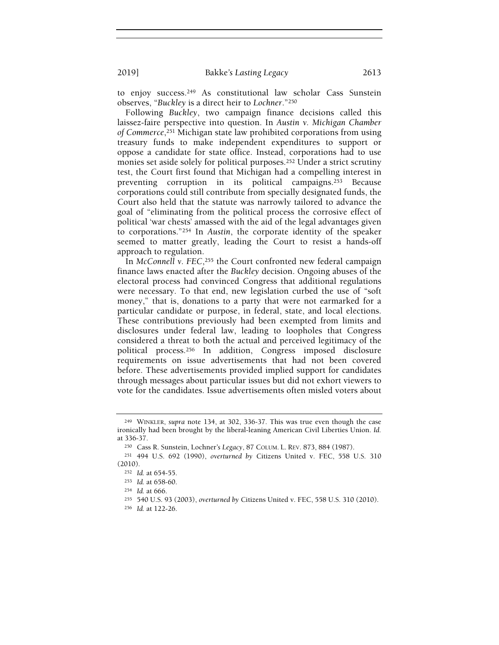to enjoy success.249 As constitutional law scholar Cass Sunstein observes, "Buckley is a direct heir to Lochner."<sup>250</sup>

Following Buckley, two campaign finance decisions called this laissez-faire perspective into question. In Austin v. Michigan Chamber of Commerce,251 Michigan state law prohibited corporations from using treasury funds to make independent expenditures to support or oppose a candidate for state office. Instead, corporations had to use monies set aside solely for political purposes.252 Under a strict scrutiny test, the Court first found that Michigan had a compelling interest in preventing corruption in its political campaigns.253 Because corporations could still contribute from specially designated funds, the Court also held that the statute was narrowly tailored to advance the goal of "eliminating from the political process the corrosive effect of political 'war chests' amassed with the aid of the legal advantages given to corporations."254 In Austin, the corporate identity of the speaker seemed to matter greatly, leading the Court to resist a hands-off approach to regulation.

In McConnell v. FEC,<sup>255</sup> the Court confronted new federal campaign finance laws enacted after the Buckley decision. Ongoing abuses of the electoral process had convinced Congress that additional regulations were necessary. To that end, new legislation curbed the use of "soft money," that is, donations to a party that were not earmarked for a particular candidate or purpose, in federal, state, and local elections. These contributions previously had been exempted from limits and disclosures under federal law, leading to loopholes that Congress considered a threat to both the actual and perceived legitimacy of the political process.256 In addition, Congress imposed disclosure requirements on issue advertisements that had not been covered before. These advertisements provided implied support for candidates through messages about particular issues but did not exhort viewers to vote for the candidates. Issue advertisements often misled voters about

<sup>249</sup> WINKLER, supra note 134, at 302, 336-37. This was true even though the case ironically had been brought by the liberal-leaning American Civil Liberties Union. Id. at 336-37.

<sup>250</sup> Cass R. Sunstein, Lochner's Legacy, 87 COLUM. L. REV. 873, 884 (1987).

<sup>251</sup> 494 U.S. 692 (1990), overturned by Citizens United v. FEC, 558 U.S. 310 (2010).

<sup>252</sup> Id. at 654-55.

<sup>253</sup> Id. at 658-60.

<sup>254</sup> Id. at 666.

<sup>255</sup> 540 U.S. 93 (2003), overturned by Citizens United v. FEC, 558 U.S. 310 (2010).

<sup>256</sup> Id. at 122-26.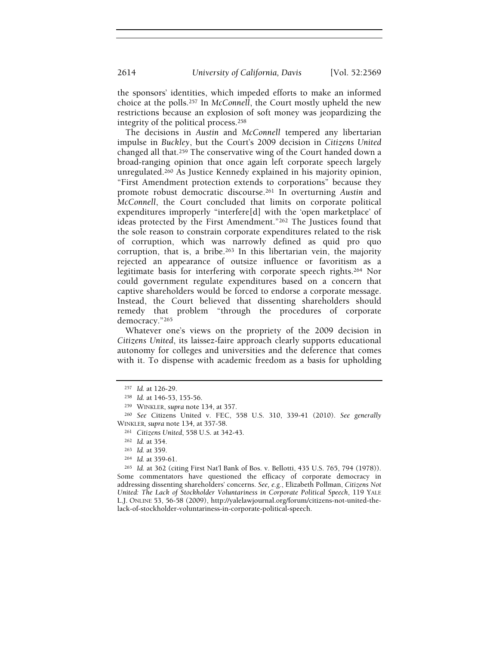the sponsors' identities, which impeded efforts to make an informed choice at the polls.257 In McConnell, the Court mostly upheld the new restrictions because an explosion of soft money was jeopardizing the integrity of the political process.<sup>258</sup>

The decisions in Austin and McConnell tempered any libertarian impulse in Buckley, but the Court's 2009 decision in Citizens United changed all that.259 The conservative wing of the Court handed down a broad-ranging opinion that once again left corporate speech largely unregulated.260 As Justice Kennedy explained in his majority opinion, "First Amendment protection extends to corporations" because they promote robust democratic discourse.261 In overturning Austin and McConnell, the Court concluded that limits on corporate political expenditures improperly "interfere[d] with the 'open marketplace' of ideas protected by the First Amendment."262 The Justices found that the sole reason to constrain corporate expenditures related to the risk of corruption, which was narrowly defined as quid pro quo corruption, that is, a bribe.<sup>263</sup> In this libertarian vein, the majority rejected an appearance of outsize influence or favoritism as a legitimate basis for interfering with corporate speech rights.264 Nor could government regulate expenditures based on a concern that captive shareholders would be forced to endorse a corporate message. Instead, the Court believed that dissenting shareholders should remedy that problem "through the procedures of corporate democracy."<sup>265</sup>

Whatever one's views on the propriety of the 2009 decision in Citizens United, its laissez-faire approach clearly supports educational autonomy for colleges and universities and the deference that comes with it. To dispense with academic freedom as a basis for upholding

<sup>257</sup> Id. at 126-29.

<sup>258</sup> Id. at 146-53, 155-56.

<sup>259</sup> WINKLER, supra note 134, at 357.

<sup>260</sup> See Citizens United v. FEC, 558 U.S. 310, 339-41 (2010). See generally WINKLER, supra note 134, at 357-58.

<sup>261</sup> Citizens United, 558 U.S. at 342-43.

<sup>262</sup> Id. at 354.

<sup>263</sup> Id. at 359.

<sup>264</sup> Id. at 359-61.

<sup>265</sup> Id. at 362 (citing First Nat'l Bank of Bos. v. Bellotti, 435 U.S. 765, 794 (1978)). Some commentators have questioned the efficacy of corporate democracy in addressing dissenting shareholders' concerns. See, e.g., Elizabeth Pollman, Citizens Not United: The Lack of Stockholder Voluntariness in Corporate Political Speech, 119 YALE L.J. ONLINE 53, 56-58 (2009), http://yalelawjournal.org/forum/citizens-not-united-thelack-of-stockholder-voluntariness-in-corporate-political-speech.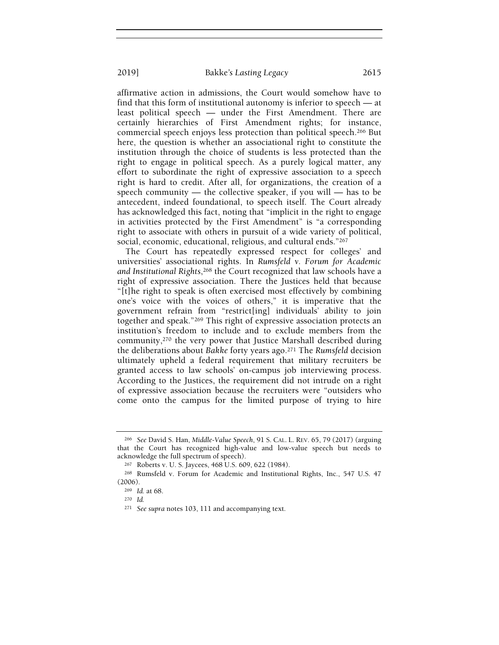affirmative action in admissions, the Court would somehow have to find that this form of institutional autonomy is inferior to speech — at least political speech — under the First Amendment. There are certainly hierarchies of First Amendment rights; for instance, commercial speech enjoys less protection than political speech.266 But here, the question is whether an associational right to constitute the institution through the choice of students is less protected than the right to engage in political speech. As a purely logical matter, any effort to subordinate the right of expressive association to a speech right is hard to credit. After all, for organizations, the creation of a speech community — the collective speaker, if you will — has to be antecedent, indeed foundational, to speech itself. The Court already has acknowledged this fact, noting that "implicit in the right to engage in activities protected by the First Amendment" is "a corresponding right to associate with others in pursuit of a wide variety of political, social, economic, educational, religious, and cultural ends."<sup>267</sup>

The Court has repeatedly expressed respect for colleges' and universities' associational rights. In Rumsfeld v. Forum for Academic and Institutional Rights,268 the Court recognized that law schools have a right of expressive association. There the Justices held that because "[t]he right to speak is often exercised most effectively by combining one's voice with the voices of others," it is imperative that the government refrain from "restrict[ing] individuals' ability to join together and speak."269 This right of expressive association protects an institution's freedom to include and to exclude members from the community,270 the very power that Justice Marshall described during the deliberations about Bakke forty years ago.271 The Rumsfeld decision ultimately upheld a federal requirement that military recruiters be granted access to law schools' on-campus job interviewing process. According to the Justices, the requirement did not intrude on a right of expressive association because the recruiters were "outsiders who come onto the campus for the limited purpose of trying to hire

<sup>266</sup> See David S. Han, Middle-Value Speech, 91 S. CAL. L. REV. 65, 79 (2017) (arguing that the Court has recognized high-value and low-value speech but needs to acknowledge the full spectrum of speech).

<sup>267</sup> Roberts v. U. S. Jaycees, 468 U.S. 609, 622 (1984).

<sup>268</sup> Rumsfeld v. Forum for Academic and Institutional Rights, Inc., 547 U.S. 47 (2006).

<sup>269</sup> Id. at 68.

<sup>270</sup> Id.

<sup>271</sup> See supra notes 103, 111 and accompanying text.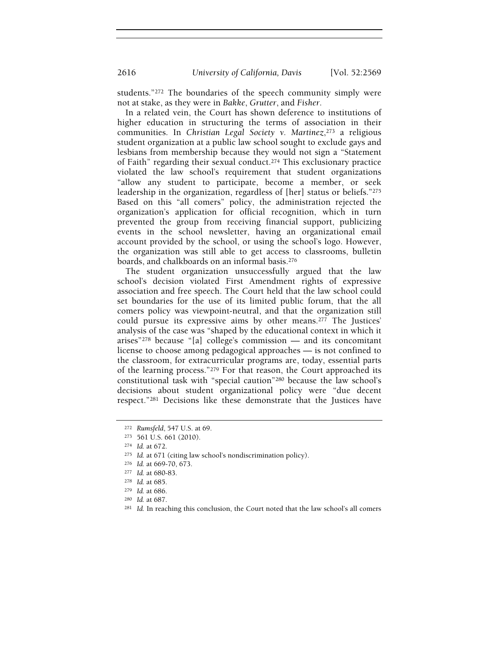students."272 The boundaries of the speech community simply were not at stake, as they were in Bakke, Grutter, and Fisher.

In a related vein, the Court has shown deference to institutions of higher education in structuring the terms of association in their communities. In Christian Legal Society v. Martinez,<sup>273</sup> a religious student organization at a public law school sought to exclude gays and lesbians from membership because they would not sign a "Statement of Faith" regarding their sexual conduct.274 This exclusionary practice violated the law school's requirement that student organizations "allow any student to participate, become a member, or seek leadership in the organization, regardless of [her] status or beliefs."<sup>275</sup> Based on this "all comers" policy, the administration rejected the organization's application for official recognition, which in turn prevented the group from receiving financial support, publicizing events in the school newsletter, having an organizational email account provided by the school, or using the school's logo. However, the organization was still able to get access to classrooms, bulletin boards, and chalkboards on an informal basis.<sup>276</sup>

The student organization unsuccessfully argued that the law school's decision violated First Amendment rights of expressive association and free speech. The Court held that the law school could set boundaries for the use of its limited public forum, that the all comers policy was viewpoint-neutral, and that the organization still could pursue its expressive aims by other means.277 The Justices' analysis of the case was "shaped by the educational context in which it arises"278 because "[a] college's commission — and its concomitant license to choose among pedagogical approaches — is not confined to the classroom, for extracurricular programs are, today, essential parts of the learning process."279 For that reason, the Court approached its constitutional task with "special caution"280 because the law school's decisions about student organizational policy were "due decent respect."281 Decisions like these demonstrate that the Justices have

<sup>272</sup> Rumsfeld, 547 U.S. at 69.

<sup>273</sup> 561 U.S. 661 (2010).

<sup>274</sup> Id. at 672.

<sup>275</sup> Id. at 671 (citing law school's nondiscrimination policy).

<sup>276</sup> Id. at 669-70, 673.

<sup>277</sup> Id. at 680-83.

<sup>278</sup> Id. at 685.

<sup>279</sup> Id. at 686.

<sup>280</sup> Id. at 687.

<sup>&</sup>lt;sup>281</sup> Id. In reaching this conclusion, the Court noted that the law school's all comers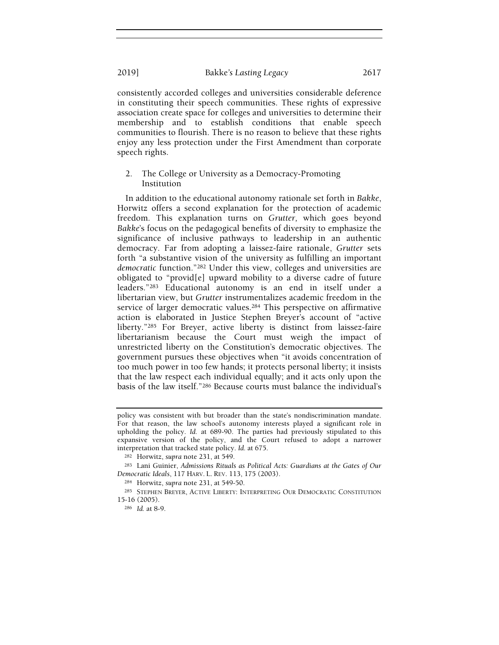consistently accorded colleges and universities considerable deference in constituting their speech communities. These rights of expressive association create space for colleges and universities to determine their membership and to establish conditions that enable speech communities to flourish. There is no reason to believe that these rights enjoy any less protection under the First Amendment than corporate speech rights.

# 2. The College or University as a Democracy-Promoting Institution

In addition to the educational autonomy rationale set forth in Bakke, Horwitz offers a second explanation for the protection of academic freedom. This explanation turns on Grutter, which goes beyond Bakke's focus on the pedagogical benefits of diversity to emphasize the significance of inclusive pathways to leadership in an authentic democracy. Far from adopting a laissez-faire rationale, Grutter sets forth "a substantive vision of the university as fulfilling an important democratic function."282 Under this view, colleges and universities are obligated to "provid[e] upward mobility to a diverse cadre of future leaders."283 Educational autonomy is an end in itself under a libertarian view, but Grutter instrumentalizes academic freedom in the service of larger democratic values.284 This perspective on affirmative action is elaborated in Justice Stephen Breyer's account of "active liberty."285 For Breyer, active liberty is distinct from laissez-faire libertarianism because the Court must weigh the impact of unrestricted liberty on the Constitution's democratic objectives. The government pursues these objectives when "it avoids concentration of too much power in too few hands; it protects personal liberty; it insists that the law respect each individual equally; and it acts only upon the basis of the law itself."286 Because courts must balance the individual's

policy was consistent with but broader than the state's nondiscrimination mandate. For that reason, the law school's autonomy interests played a significant role in upholding the policy. Id. at 689-90. The parties had previously stipulated to this expansive version of the policy, and the Court refused to adopt a narrower interpretation that tracked state policy. Id. at 675.

<sup>282</sup> Horwitz, supra note 231, at 549.

<sup>283</sup> Lani Guinier, Admissions Rituals as Political Acts: Guardians at the Gates of Our Democratic Ideals, 117 HARV. L. REV. 113, 175 (2003).

<sup>284</sup> Horwitz, supra note 231, at 549-50.

<sup>285</sup> STEPHEN BREYER, ACTIVE LIBERTY: INTERPRETING OUR DEMOCRATIC CONSTITUTION 15-16 (2005).

<sup>286</sup> Id. at 8-9.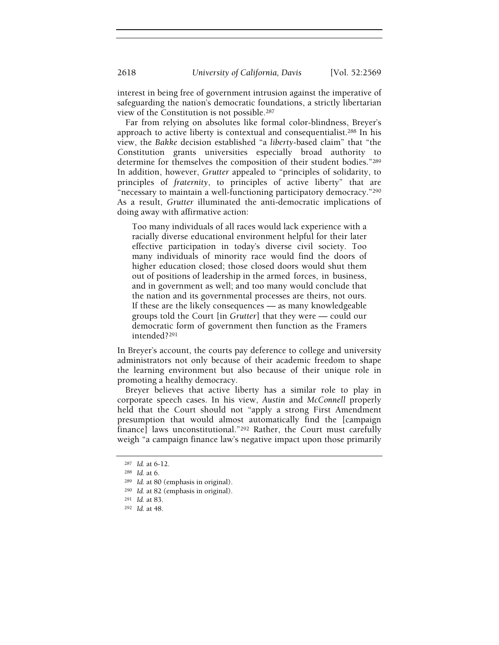interest in being free of government intrusion against the imperative of safeguarding the nation's democratic foundations, a strictly libertarian view of the Constitution is not possible.<sup>287</sup>

Far from relying on absolutes like formal color-blindness, Breyer's approach to active liberty is contextual and consequentialist.288 In his view, the Bakke decision established "a liberty-based claim" that "the Constitution grants universities especially broad authority to determine for themselves the composition of their student bodies."<sup>289</sup> In addition, however, Grutter appealed to "principles of solidarity, to principles of fraternity, to principles of active liberty" that are "necessary to maintain a well-functioning participatory democracy."<sup>290</sup> As a result, Grutter illuminated the anti-democratic implications of doing away with affirmative action:

Too many individuals of all races would lack experience with a racially diverse educational environment helpful for their later effective participation in today's diverse civil society. Too many individuals of minority race would find the doors of higher education closed; those closed doors would shut them out of positions of leadership in the armed forces, in business, and in government as well; and too many would conclude that the nation and its governmental processes are theirs, not ours. If these are the likely consequences — as many knowledgeable groups told the Court [in Grutter] that they were — could our democratic form of government then function as the Framers intended?<sup>291</sup>

In Breyer's account, the courts pay deference to college and university administrators not only because of their academic freedom to shape the learning environment but also because of their unique role in promoting a healthy democracy.

Breyer believes that active liberty has a similar role to play in corporate speech cases. In his view, Austin and McConnell properly held that the Court should not "apply a strong First Amendment presumption that would almost automatically find the [campaign finance] laws unconstitutional."292 Rather, the Court must carefully weigh "a campaign finance law's negative impact upon those primarily

<sup>287</sup> Id. at 6-12.

<sup>288</sup> Id. at 6.

<sup>289</sup> Id. at 80 (emphasis in original).

<sup>290</sup> Id. at 82 (emphasis in original).

<sup>291</sup> Id. at 83.

<sup>292</sup> Id. at 48.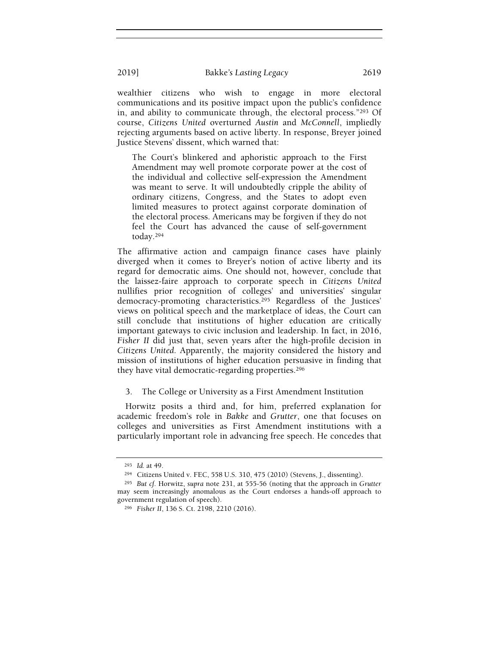wealthier citizens who wish to engage in more electoral communications and its positive impact upon the public's confidence in, and ability to communicate through, the electoral process."293 Of course, Citizens United overturned Austin and McConnell, impliedly rejecting arguments based on active liberty. In response, Breyer joined Justice Stevens' dissent, which warned that:

The Court's blinkered and aphoristic approach to the First Amendment may well promote corporate power at the cost of the individual and collective self-expression the Amendment was meant to serve. It will undoubtedly cripple the ability of ordinary citizens, Congress, and the States to adopt even limited measures to protect against corporate domination of the electoral process. Americans may be forgiven if they do not feel the Court has advanced the cause of self-government today.<sup>294</sup>

The affirmative action and campaign finance cases have plainly diverged when it comes to Breyer's notion of active liberty and its regard for democratic aims. One should not, however, conclude that the laissez-faire approach to corporate speech in Citizens United nullifies prior recognition of colleges' and universities' singular democracy-promoting characteristics.295 Regardless of the Justices' views on political speech and the marketplace of ideas, the Court can still conclude that institutions of higher education are critically important gateways to civic inclusion and leadership. In fact, in 2016, Fisher II did just that, seven years after the high-profile decision in Citizens United. Apparently, the majority considered the history and mission of institutions of higher education persuasive in finding that they have vital democratic-regarding properties.<sup>296</sup>

3. The College or University as a First Amendment Institution

Horwitz posits a third and, for him, preferred explanation for academic freedom's role in Bakke and Grutter, one that focuses on colleges and universities as First Amendment institutions with a particularly important role in advancing free speech. He concedes that

<sup>293</sup> Id. at 49.

<sup>294</sup> Citizens United v. FEC, 558 U.S. 310, 475 (2010) (Stevens, J., dissenting).

<sup>295</sup> But cf. Horwitz, supra note 231, at 555-56 (noting that the approach in Grutter may seem increasingly anomalous as the Court endorses a hands-off approach to government regulation of speech).

<sup>296</sup> Fisher II, 136 S. Ct. 2198, 2210 (2016).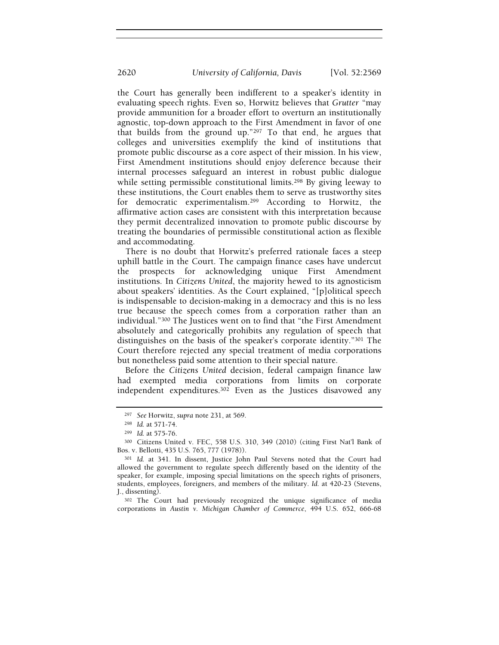the Court has generally been indifferent to a speaker's identity in evaluating speech rights. Even so, Horwitz believes that Grutter "may provide ammunition for a broader effort to overturn an institutionally agnostic, top-down approach to the First Amendment in favor of one that builds from the ground up."297 To that end, he argues that colleges and universities exemplify the kind of institutions that promote public discourse as a core aspect of their mission. In his view, First Amendment institutions should enjoy deference because their internal processes safeguard an interest in robust public dialogue while setting permissible constitutional limits.<sup>298</sup> By giving leeway to these institutions, the Court enables them to serve as trustworthy sites for democratic experimentalism.299 According to Horwitz, the affirmative action cases are consistent with this interpretation because they permit decentralized innovation to promote public discourse by treating the boundaries of permissible constitutional action as flexible and accommodating.

There is no doubt that Horwitz's preferred rationale faces a steep uphill battle in the Court. The campaign finance cases have undercut the prospects for acknowledging unique First Amendment institutions. In Citizens United, the majority hewed to its agnosticism about speakers' identities. As the Court explained, "[p]olitical speech is indispensable to decision-making in a democracy and this is no less true because the speech comes from a corporation rather than an individual."300 The Justices went on to find that "the First Amendment absolutely and categorically prohibits any regulation of speech that distinguishes on the basis of the speaker's corporate identity."301 The Court therefore rejected any special treatment of media corporations but nonetheless paid some attention to their special nature.

Before the Citizens United decision, federal campaign finance law had exempted media corporations from limits on corporate independent expenditures.302 Even as the Justices disavowed any

<sup>302</sup> The Court had previously recognized the unique significance of media corporations in Austin v. Michigan Chamber of Commerce, 494 U.S. 652, 666-68

<sup>297</sup> See Horwitz, supra note 231, at 569.

<sup>298</sup> Id. at 571-74.

<sup>299</sup> Id. at 575-76.

<sup>300</sup> Citizens United v. FEC, 558 U.S. 310, 349 (2010) (citing First Nat'l Bank of Bos. v. Bellotti, 435 U.S. 765, 777 (1978)).

<sup>301</sup> Id. at 341. In dissent, Justice John Paul Stevens noted that the Court had allowed the government to regulate speech differently based on the identity of the speaker, for example, imposing special limitations on the speech rights of prisoners, students, employees, foreigners, and members of the military. Id. at 420-23 (Stevens, J., dissenting).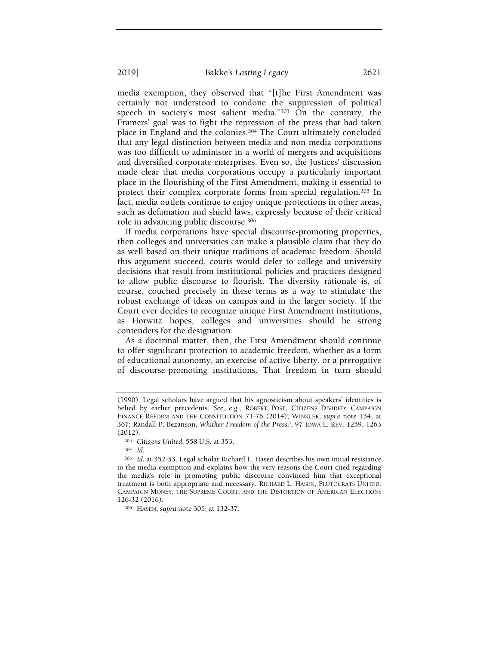media exemption, they observed that "[t]he First Amendment was certainly not understood to condone the suppression of political speech in society's most salient media."303 On the contrary, the Framers' goal was to fight the repression of the press that had taken place in England and the colonies.304 The Court ultimately concluded that any legal distinction between media and non-media corporations was too difficult to administer in a world of mergers and acquisitions and diversified corporate enterprises. Even so, the Justices' discussion made clear that media corporations occupy a particularly important place in the flourishing of the First Amendment, making it essential to protect their complex corporate forms from special regulation.<sup>305</sup> In fact, media outlets continue to enjoy unique protections in other areas, such as defamation and shield laws, expressly because of their critical role in advancing public discourse.<sup>306</sup>

If media corporations have special discourse-promoting properties, then colleges and universities can make a plausible claim that they do as well based on their unique traditions of academic freedom. Should this argument succeed, courts would defer to college and university decisions that result from institutional policies and practices designed to allow public discourse to flourish. The diversity rationale is, of course, couched precisely in these terms as a way to stimulate the robust exchange of ideas on campus and in the larger society. If the Court ever decides to recognize unique First Amendment institutions, as Horwitz hopes, colleges and universities should be strong contenders for the designation.

As a doctrinal matter, then, the First Amendment should continue to offer significant protection to academic freedom, whether as a form of educational autonomy, an exercise of active liberty, or a prerogative of discourse-promoting institutions. That freedom in turn should

<sup>(1990).</sup> Legal scholars have argued that his agnosticism about speakers' identities is belied by earlier precedents. See, e.g., ROBERT POST, CITIZENS DIVIDED: CAMPAIGN FINANCE REFORM AND THE CONSTITUTION 71-76 (2014); WINKLER, supra note 134, at 367; Randall P. Bezanson, Whither Freedom of the Press?, 97 IOWA L. REV. 1259, 1263 (2012).

<sup>303</sup> Citizens United, 558 U.S. at 353.

<sup>304</sup> Id.

<sup>305</sup> Id. at 352-53. Legal scholar Richard L. Hasen describes his own initial resistance to the media exemption and explains how the very reasons the Court cited regarding the media's role in promoting public discourse convinced him that exceptional treatment is both appropriate and necessary. RICHARD L. HASEN, PLUTOCRATS UNITED: CAMPAIGN MONEY, THE SUPREME COURT, AND THE DISTORTION OF AMERICAN ELECTIONS 126-32 (2016).

<sup>306</sup> HASEN, supra note 305, at 132-37.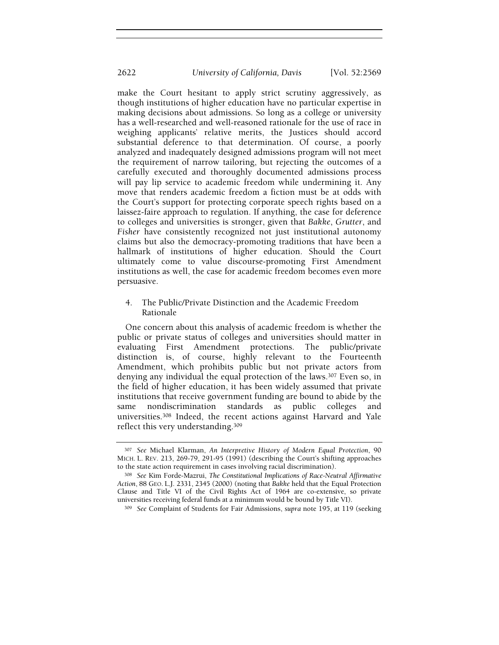make the Court hesitant to apply strict scrutiny aggressively, as though institutions of higher education have no particular expertise in making decisions about admissions. So long as a college or university has a well-researched and well-reasoned rationale for the use of race in weighing applicants' relative merits, the Justices should accord substantial deference to that determination. Of course, a poorly analyzed and inadequately designed admissions program will not meet the requirement of narrow tailoring, but rejecting the outcomes of a carefully executed and thoroughly documented admissions process will pay lip service to academic freedom while undermining it. Any move that renders academic freedom a fiction must be at odds with the Court's support for protecting corporate speech rights based on a laissez-faire approach to regulation. If anything, the case for deference to colleges and universities is stronger, given that Bakke, Grutter, and Fisher have consistently recognized not just institutional autonomy claims but also the democracy-promoting traditions that have been a hallmark of institutions of higher education. Should the Court ultimately come to value discourse-promoting First Amendment institutions as well, the case for academic freedom becomes even more persuasive.

4. The Public/Private Distinction and the Academic Freedom Rationale

One concern about this analysis of academic freedom is whether the public or private status of colleges and universities should matter in evaluating First Amendment protections. The public/private distinction is, of course, highly relevant to the Fourteenth Amendment, which prohibits public but not private actors from denying any individual the equal protection of the laws.<sup>307</sup> Even so, in the field of higher education, it has been widely assumed that private institutions that receive government funding are bound to abide by the same nondiscrimination standards as public colleges and universities.308 Indeed, the recent actions against Harvard and Yale reflect this very understanding.<sup>309</sup>

<sup>307</sup> See Michael Klarman, An Interpretive History of Modern Equal Protection, 90 MICH. L. REV. 213, 269-79, 291-95 (1991) (describing the Court's shifting approaches to the state action requirement in cases involving racial discrimination).

<sup>308</sup> See Kim Forde-Mazrui, The Constitutional Implications of Race-Neutral Affirmative Action, 88 GEO. L.J. 2331, 2345 (2000) (noting that Bakke held that the Equal Protection Clause and Title VI of the Civil Rights Act of 1964 are co-extensive, so private universities receiving federal funds at a minimum would be bound by Title VI).

<sup>309</sup> See Complaint of Students for Fair Admissions, supra note 195, at 119 (seeking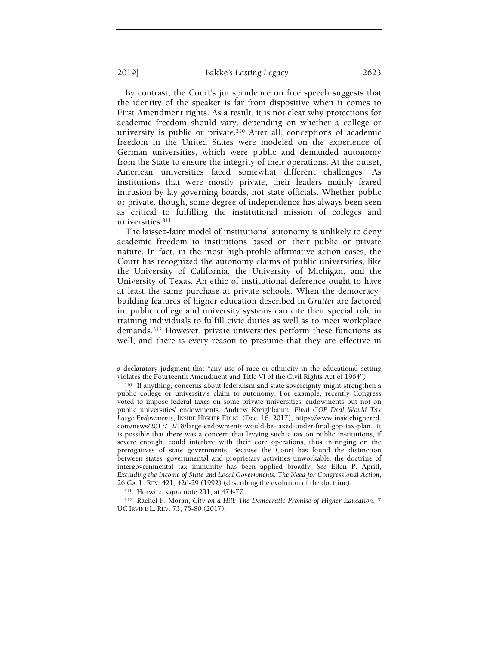By contrast, the Court's jurisprudence on free speech suggests that the identity of the speaker is far from dispositive when it comes to First Amendment rights. As a result, it is not clear why protections for academic freedom should vary, depending on whether a college or university is public or private.310 After all, conceptions of academic freedom in the United States were modeled on the experience of German universities, which were public and demanded autonomy from the State to ensure the integrity of their operations. At the outset, American universities faced somewhat different challenges. As institutions that were mostly private, their leaders mainly feared intrusion by lay governing boards, not state officials. Whether public or private, though, some degree of independence has always been seen as critical to fulfilling the institutional mission of colleges and universities.<sup>311</sup>

The laissez-faire model of institutional autonomy is unlikely to deny academic freedom to institutions based on their public or private nature. In fact, in the most high-profile affirmative action cases, the Court has recognized the autonomy claims of public universities, like the University of California, the University of Michigan, and the University of Texas. An ethic of institutional deference ought to have at least the same purchase at private schools. When the democracybuilding features of higher education described in Grutter are factored in, public college and university systems can cite their special role in training individuals to fulfill civic duties as well as to meet workplace demands.312 However, private universities perform these functions as well, and there is every reason to presume that they are effective in

a declaratory judgment that "any use of race or ethnicity in the educational setting violates the Fourteenth Amendment and Title VI of the Civil Rights Act of 1964").

<sup>310</sup> If anything, concerns about federalism and state sovereignty might strengthen a public college or university's claim to autonomy. For example, recently Congress voted to impose federal taxes on some private universities' endowments but not on public universities' endowments. Andrew Kreighbaum, Final GOP Deal Would Tax Large Endowments, INSIDE HIGHER EDUC. (Dec. 18, 2017), https://www.insidehighered. com/news/2017/12/18/large-endowments-would-be-taxed-under-final-gop-tax-plan. It is possible that there was a concern that levying such a tax on public institutions, if severe enough, could interfere with their core operations, thus infringing on the prerogatives of state governments. Because the Court has found the distinction between states' governmental and proprietary activities unworkable, the doctrine of intergovernmental tax immunity has been applied broadly. See Ellen P. Aprill, Excluding the Income of State and Local Governments: The Need for Congressional Action, 26 GA. L. REV. 421, 426-29 (1992) (describing the evolution of the doctrine).

<sup>311</sup> Horwitz, supra note 231, at 474-77.

<sup>312</sup> Rachel F. Moran, City on a Hill: The Democratic Promise of Higher Education, 7 UC IRVINE L. REV. 73, 75-80 (2017).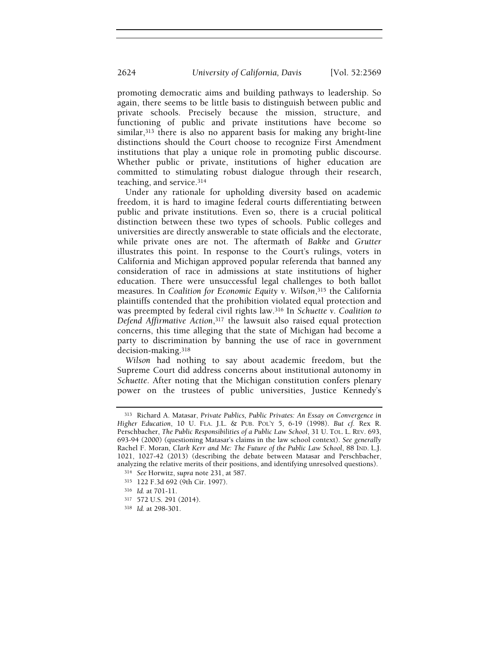promoting democratic aims and building pathways to leadership. So again, there seems to be little basis to distinguish between public and private schools. Precisely because the mission, structure, and functioning of public and private institutions have become so similar,313 there is also no apparent basis for making any bright-line distinctions should the Court choose to recognize First Amendment institutions that play a unique role in promoting public discourse. Whether public or private, institutions of higher education are committed to stimulating robust dialogue through their research, teaching, and service.<sup>314</sup>

Under any rationale for upholding diversity based on academic freedom, it is hard to imagine federal courts differentiating between public and private institutions. Even so, there is a crucial political distinction between these two types of schools. Public colleges and universities are directly answerable to state officials and the electorate, while private ones are not. The aftermath of Bakke and Grutter illustrates this point. In response to the Court's rulings, voters in California and Michigan approved popular referenda that banned any consideration of race in admissions at state institutions of higher education. There were unsuccessful legal challenges to both ballot measures. In Coalition for Economic Equity v. Wilson,315 the California plaintiffs contended that the prohibition violated equal protection and was preempted by federal civil rights law.<sup>316</sup> In Schuette v. Coalition to Defend Affirmative Action,<sup>317</sup> the lawsuit also raised equal protection concerns, this time alleging that the state of Michigan had become a party to discrimination by banning the use of race in government decision-making.<sup>318</sup>

Wilson had nothing to say about academic freedom, but the Supreme Court did address concerns about institutional autonomy in Schuette. After noting that the Michigan constitution confers plenary power on the trustees of public universities, Justice Kennedy's

<sup>313</sup> Richard A. Matasar, Private Publics, Public Privates: An Essay on Convergence in Higher Education, 10 U. FLA. J.L. & PUB. POL'Y 5, 6-19 (1998). But cf. Rex R. Perschbacher, The Public Responsibilities of a Public Law School, 31 U. TOL. L. REV. 693, 693-94 (2000) (questioning Matasar's claims in the law school context). See generally Rachel F. Moran, Clark Kerr and Me: The Future of the Public Law School, 88 IND. L.J. 1021, 1027-42 (2013) (describing the debate between Matasar and Perschbacher, analyzing the relative merits of their positions, and identifying unresolved questions).

<sup>314</sup> See Horwitz, supra note 231, at 587.

<sup>315</sup> 122 F.3d 692 (9th Cir. 1997).

<sup>316</sup> Id. at 701-11.

<sup>317</sup> 572 U.S. 291 (2014).

<sup>318</sup> Id. at 298-301.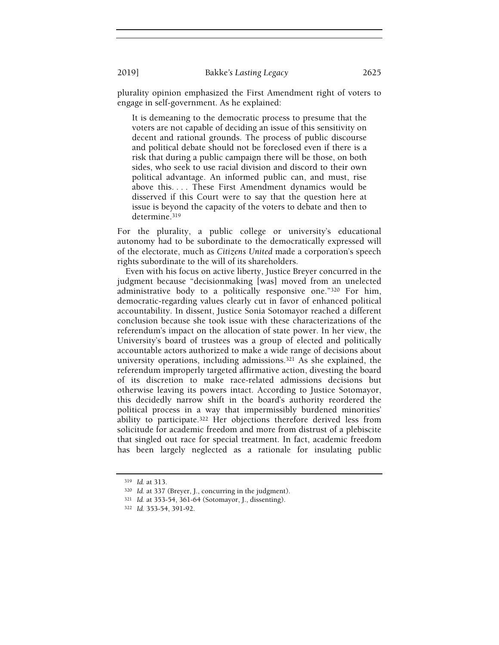plurality opinion emphasized the First Amendment right of voters to engage in self-government. As he explained:

It is demeaning to the democratic process to presume that the voters are not capable of deciding an issue of this sensitivity on decent and rational grounds. The process of public discourse and political debate should not be foreclosed even if there is a risk that during a public campaign there will be those, on both sides, who seek to use racial division and discord to their own political advantage. An informed public can, and must, rise above this. . . . These First Amendment dynamics would be disserved if this Court were to say that the question here at issue is beyond the capacity of the voters to debate and then to determine.<sup>319</sup>

For the plurality, a public college or university's educational autonomy had to be subordinate to the democratically expressed will of the electorate, much as Citizens United made a corporation's speech rights subordinate to the will of its shareholders.

Even with his focus on active liberty, Justice Breyer concurred in the judgment because "decisionmaking [was] moved from an unelected administrative body to a politically responsive one."320 For him, democratic-regarding values clearly cut in favor of enhanced political accountability. In dissent, Justice Sonia Sotomayor reached a different conclusion because she took issue with these characterizations of the referendum's impact on the allocation of state power. In her view, the University's board of trustees was a group of elected and politically accountable actors authorized to make a wide range of decisions about university operations, including admissions.321 As she explained, the referendum improperly targeted affirmative action, divesting the board of its discretion to make race-related admissions decisions but otherwise leaving its powers intact. According to Justice Sotomayor, this decidedly narrow shift in the board's authority reordered the political process in a way that impermissibly burdened minorities' ability to participate.322 Her objections therefore derived less from solicitude for academic freedom and more from distrust of a plebiscite that singled out race for special treatment. In fact, academic freedom has been largely neglected as a rationale for insulating public

<sup>319</sup> Id. at 313.

<sup>320</sup> Id. at 337 (Breyer, J., concurring in the judgment).

<sup>321</sup> Id. at 353-54, 361-64 (Sotomayor, J., dissenting).

<sup>322</sup> Id. 353-54, 391-92.